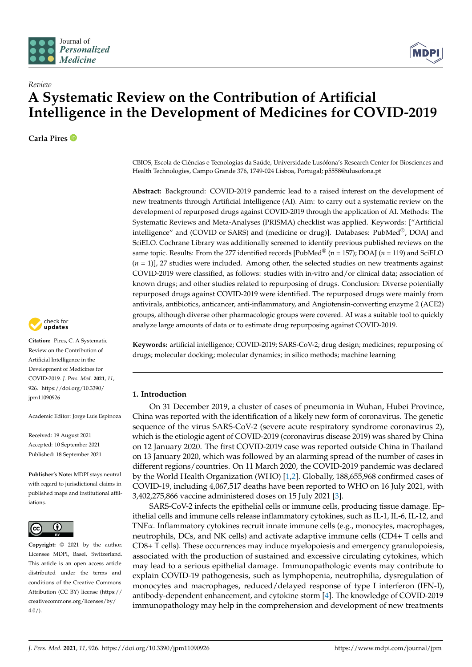



# *Review* **A Systematic Review on the Contribution of Artificial Intelligence in the Development of Medicines for COVID-2019**

**Carla Pires**



**Citation:** Pires, C. A Systematic Review on the Contribution of Artificial Intelligence in the Development of Medicines for COVID-2019. *J. Pers. Med.* **2021**, *11*, 926. [https://doi.org/10.3390/](https://doi.org/10.3390/jpm11090926) [jpm11090926](https://doi.org/10.3390/jpm11090926)

Academic Editor: Jorge Luis Espinoza

Received: 19 August 2021 Accepted: 10 September 2021 Published: 18 September 2021

**Publisher's Note:** MDPI stays neutral with regard to jurisdictional claims in published maps and institutional affiliations.



**Copyright:** © 2021 by the author. Licensee MDPI, Basel, Switzerland. This article is an open access article distributed under the terms and conditions of the Creative Commons Attribution (CC BY) license (https:/[/](https://creativecommons.org/licenses/by/4.0/) [creativecommons.org/licenses/by/](https://creativecommons.org/licenses/by/4.0/)  $4.0/$ ).

CBIOS, Escola de Ciências e Tecnologias da Saúde, Universidade Lusófona's Research Center for Biosciences and Health Technologies, Campo Grande 376, 1749-024 Lisboa, Portugal; p5558@ulusofona.pt

**Abstract:** Background: COVID-2019 pandemic lead to a raised interest on the development of new treatments through Artificial Intelligence (AI). Aim: to carry out a systematic review on the development of repurposed drugs against COVID-2019 through the application of AI. Methods: The Systematic Reviews and Meta-Analyses (PRISMA) checklist was applied. Keywords: ["Artificial intelligence" and (COVID or SARS) and (medicine or drug)]. Databases: PubMed<sup>®</sup>, DOAJ and SciELO. Cochrane Library was additionally screened to identify previous published reviews on the same topic. Results: From the 277 identified records  $[PubMed^{\circledcirc}$  (n = 157); DOAJ (*n* = 119) and SciELO  $(n = 1)$ ], 27 studies were included. Among other, the selected studies on new treatments against COVID-2019 were classified, as follows: studies with in-vitro and/or clinical data; association of known drugs; and other studies related to repurposing of drugs. Conclusion: Diverse potentially repurposed drugs against COVID-2019 were identified. The repurposed drugs were mainly from antivirals, antibiotics, anticancer, anti-inflammatory, and Angiotensin-converting enzyme 2 (ACE2) groups, although diverse other pharmacologic groups were covered. AI was a suitable tool to quickly analyze large amounts of data or to estimate drug repurposing against COVID-2019.

**Keywords:** artificial intelligence; COVID-2019; SARS-CoV-2; drug design; medicines; repurposing of drugs; molecular docking; molecular dynamics; in silico methods; machine learning

# **1. Introduction**

On 31 December 2019, a cluster of cases of pneumonia in Wuhan, Hubei Province, China was reported with the identification of a likely new form of coronavirus. The genetic sequence of the virus SARS-CoV-2 (severe acute respiratory syndrome coronavirus 2), which is the etiologic agent of COVID-2019 (coronavirus disease 2019) was shared by China on 12 January 2020. The first COVID-2019 case was reported outside China in Thailand on 13 January 2020, which was followed by an alarming spread of the number of cases in different regions/countries. On 11 March 2020, the COVID-2019 pandemic was declared by the World Health Organization (WHO) [\[1](#page-29-0)[,2\]](#page-29-1). Globally, 188,655,968 confirmed cases of COVID-19, including 4,067,517 deaths have been reported to WHO on 16 July 2021, with 3,402,275,866 vaccine administered doses on 15 July 2021 [\[3\]](#page-29-2).

SARS-CoV-2 infects the epithelial cells or immune cells, producing tissue damage. Epithelial cells and immune cells release inflammatory cytokines, such as IL-1, IL-6, IL-12, and TNFα. Inflammatory cytokines recruit innate immune cells (e.g., monocytes, macrophages, neutrophils, DCs, and NK cells) and activate adaptive immune cells (CD4+ T cells and CD8+ T cells). These occurrences may induce myelopoiesis and emergency granulopoiesis, associated with the production of sustained and excessive circulating cytokines, which may lead to a serious epithelial damage. Immunopathologic events may contribute to explain COVID-19 pathogenesis, such as lymphopenia, neutrophilia, dysregulation of monocytes and macrophages, reduced/delayed response of type I interferon (IFN-I), antibody-dependent enhancement, and cytokine storm [\[4\]](#page-29-3). The knowledge of COVID-2019 immunopathology may help in the comprehension and development of new treatments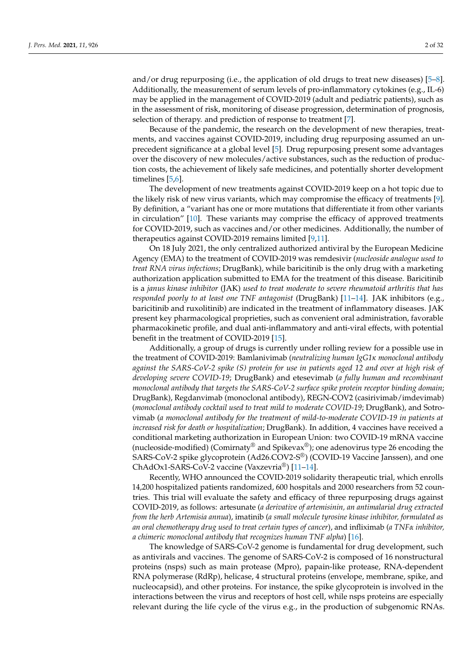and/or drug repurposing (i.e., the application of old drugs to treat new diseases) [\[5](#page-29-4)[–8\]](#page-29-5). Additionally, the measurement of serum levels of pro-inflammatory cytokines (e.g., IL-6) may be applied in the management of COVID-2019 (adult and pediatric patients), such as in the assessment of risk, monitoring of disease progression, determination of prognosis, selection of therapy. and prediction of response to treatment [\[7\]](#page-29-6).

Because of the pandemic, the research on the development of new therapies, treatments, and vaccines against COVID-2019, including drug repurposing assumed an unprecedent significance at a global level [\[5\]](#page-29-4). Drug repurposing present some advantages over the discovery of new molecules/active substances, such as the reduction of production costs, the achievement of likely safe medicines, and potentially shorter development timelines [\[5](#page-29-4)[,6\]](#page-29-7).

The development of new treatments against COVID-2019 keep on a hot topic due to the likely risk of new virus variants, which may compromise the efficacy of treatments [\[9\]](#page-29-8). By definition, a "variant has one or more mutations that differentiate it from other variants in circulation" [\[10\]](#page-29-9). These variants may comprise the efficacy of approved treatments for COVID-2019, such as vaccines and/or other medicines. Additionally, the number of therapeutics against COVID-2019 remains limited [\[9,](#page-29-8)[11\]](#page-29-10).

On 18 July 2021, the only centralized authorized antiviral by the European Medicine Agency (EMA) to the treatment of COVID-2019 was remdesivir (*nucleoside analogue used to treat RNA virus infections*; DrugBank), while baricitinib is the only drug with a marketing authorization application submitted to EMA for the treatment of this disease. Baricitinib is a *janus kinase inhibitor* (JAK) *used to treat moderate to severe rheumatoid arthritis that has responded poorly to at least one TNF antagonist* (DrugBank) [\[11](#page-29-10)[–14\]](#page-29-11). JAK inhibitors (e.g., baricitinib and ruxolitinib) are indicated in the treatment of inflammatory diseases. JAK present key pharmacological proprieties, such as convenient oral administration, favorable pharmacokinetic profile, and dual anti-inflammatory and anti-viral effects, with potential benefit in the treatment of COVID-2019 [\[15\]](#page-29-12).

Additionally, a group of drugs is currently under rolling review for a possible use in the treatment of COVID-2019: Bamlanivimab (*neutralizing human IgG1κ monoclonal antibody against the SARS-CoV-2 spike (S) protein for use in patients aged 12 and over at high risk of developing severe COVID-19*; DrugBank) and etesevimab (*a fully human and recombinant monoclonal antibody that targets the SARS-CoV-2 surface spike protein receptor binding domain*; DrugBank), Regdanvimab (monoclonal antibody), REGN-COV2 (casirivimab/imdevimab) (*monoclonal antibody cocktail used to treat mild to moderate COVID-19*; DrugBank), and Sotrovimab (*a monoclonal antibody for the treatment of mild-to-moderate COVID-19 in patients at increased risk for death or hospitalization*; DrugBank). In addition, 4 vaccines have received a conditional marketing authorization in European Union: two COVID-19 mRNA vaccine (nucleoside-modified) (Comirnaty® and Spikevax®); one adenovirus type 26 encoding the SARS-CoV-2 spike glycoprotein (Ad26.COV2-S®) (COVID-19 Vaccine Janssen), and one ChAdOx1-SARS-CoV-2 vaccine (Vaxzevria®) [\[11–](#page-29-10)[14\]](#page-29-11).

Recently, WHO announced the COVID-2019 solidarity therapeutic trial, which enrolls 14,200 hospitalized patients randomized, 600 hospitals and 2000 researchers from 52 countries. This trial will evaluate the safety and efficacy of three repurposing drugs against COVID-2019, as follows: artesunate (*a derivative of artemisinin, an antimalarial drug extracted from the herb Artemisia annua*), imatinib (*a small molecule tyrosine kinase inhibitor, formulated as an oral chemotherapy drug used to treat certain types of cancer*), and infliximab (*a TNFα inhibitor, a chimeric monoclonal antibody that recognizes human TNF alpha*) [\[16\]](#page-29-13).

The knowledge of SARS-CoV-2 genome is fundamental for drug development, such as antivirals and vaccines. The genome of SARS-CoV-2 is composed of 16 nonstructural proteins (nsps) such as main protease (Mpro), papain-like protease, RNA-dependent RNA polymerase (RdRp), helicase, 4 structural proteins (envelope, membrane, spike, and nucleocapsid), and other proteins. For instance, the spike glycoprotein is involved in the interactions between the virus and receptors of host cell, while nsps proteins are especially relevant during the life cycle of the virus e.g., in the production of subgenomic RNAs.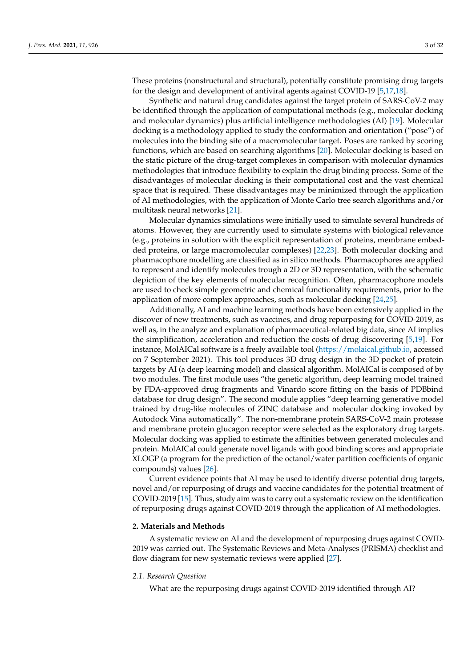These proteins (nonstructural and structural), potentially constitute promising drug targets for the design and development of antiviral agents against COVID-19 [\[5,](#page-29-4)[17,](#page-29-14)[18\]](#page-29-15).

Synthetic and natural drug candidates against the target protein of SARS-CoV-2 may be identified through the application of computational methods (e.g., molecular docking and molecular dynamics) plus artificial intelligence methodologies (AI) [\[19\]](#page-29-16). Molecular docking is a methodology applied to study the conformation and orientation ("pose") of molecules into the binding site of a macromolecular target. Poses are ranked by scoring functions, which are based on searching algorithms [\[20\]](#page-29-17). Molecular docking is based on the static picture of the drug-target complexes in comparison with molecular dynamics methodologies that introduce flexibility to explain the drug binding process. Some of the disadvantages of molecular docking is their computational cost and the vast chemical space that is required. These disadvantages may be minimized through the application of AI methodologies, with the application of Monte Carlo tree search algorithms and/or multitask neural networks [\[21\]](#page-29-18).

Molecular dynamics simulations were initially used to simulate several hundreds of atoms. However, they are currently used to simulate systems with biological relevance (e.g., proteins in solution with the explicit representation of proteins, membrane embedded proteins, or large macromolecular complexes) [\[22](#page-29-19)[,23\]](#page-29-20). Both molecular docking and pharmacophore modelling are classified as in silico methods. Pharmacophores are applied to represent and identify molecules trough a 2D or 3D representation, with the schematic depiction of the key elements of molecular recognition. Often, pharmacophore models are used to check simple geometric and chemical functionality requirements, prior to the application of more complex approaches, such as molecular docking [\[24](#page-29-21)[,25\]](#page-29-22).

Additionally, AI and machine learning methods have been extensively applied in the discover of new treatments, such as vaccines, and drug repurposing for COVID-2019, as well as, in the analyze and explanation of pharmaceutical-related big data, since AI implies the simplification, acceleration and reduction the costs of drug discovering [\[5](#page-29-4)[,19\]](#page-29-16). For instance, MolAICal software is a freely available tool [\(https://molaical.github.io,](https://molaical.github.io) accessed on 7 September 2021). This tool produces 3D drug design in the 3D pocket of protein targets by AI (a deep learning model) and classical algorithm. MolAICal is composed of by two modules. The first module uses "the genetic algorithm, deep learning model trained by FDA-approved drug fragments and Vinardo score fitting on the basis of PDBbind database for drug design". The second module applies "deep learning generative model trained by drug-like molecules of ZINC database and molecular docking invoked by Autodock Vina automatically". The non-membrane protein SARS-CoV-2 main protease and membrane protein glucagon receptor were selected as the exploratory drug targets. Molecular docking was applied to estimate the affinities between generated molecules and protein. MolAICal could generate novel ligands with good binding scores and appropriate XLOGP (a program for the prediction of the octanol/water partition coefficients of organic compounds) values [\[26\]](#page-29-23).

Current evidence points that AI may be used to identify diverse potential drug targets, novel and/or repurposing of drugs and vaccine candidates for the potential treatment of COVID-2019 [\[15\]](#page-29-12). Thus, study aim was to carry out a systematic review on the identification of repurposing drugs against COVID-2019 through the application of AI methodologies.

# **2. Materials and Methods**

A systematic review on AI and the development of repurposing drugs against COVID-2019 was carried out. The Systematic Reviews and Meta-Analyses (PRISMA) checklist and flow diagram for new systematic reviews were applied [\[27\]](#page-29-24).

# *2.1. Research Question*

What are the repurposing drugs against COVID-2019 identified through AI?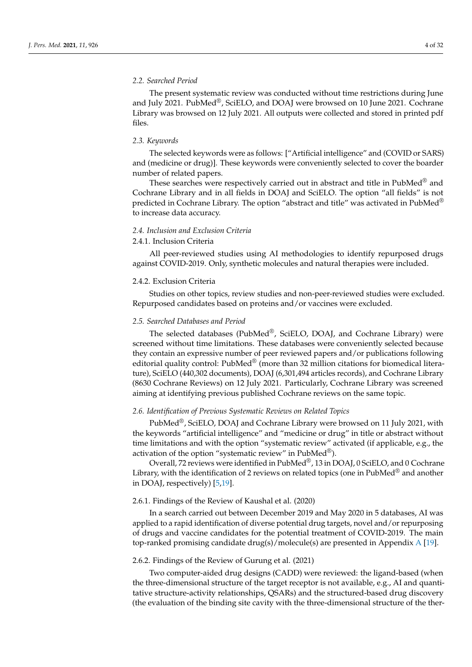## *2.2. Searched Period*

The present systematic review was conducted without time restrictions during June and July 2021. PubMed®, SciELO, and DOAJ were browsed on 10 June 2021. Cochrane Library was browsed on 12 July 2021. All outputs were collected and stored in printed pdf files.

### *2.3. Keywords*

The selected keywords were as follows: ["Artificial intelligence" and (COVID or SARS) and (medicine or drug)]. These keywords were conveniently selected to cover the boarder number of related papers.

These searches were respectively carried out in abstract and title in PubMed<sup>®</sup> and Cochrane Library and in all fields in DOAJ and SciELO. The option "all fields" is not predicted in Cochrane Library. The option "abstract and title" was activated in PubMed $^{\circledR}$ to increase data accuracy.

# *2.4. Inclusion and Exclusion Criteria*

## 2.4.1. Inclusion Criteria

All peer-reviewed studies using AI methodologies to identify repurposed drugs against COVID-2019. Only, synthetic molecules and natural therapies were included.

#### 2.4.2. Exclusion Criteria

Studies on other topics, review studies and non-peer-reviewed studies were excluded. Repurposed candidates based on proteins and/or vaccines were excluded.

#### *2.5. Searched Databases and Period*

The selected databases (PubMed®, SciELO, DOAJ, and Cochrane Library) were screened without time limitations. These databases were conveniently selected because they contain an expressive number of peer reviewed papers and/or publications following editorial quality control:  $PubMed^{\circledast}$  (more than 32 million citations for biomedical literature), SciELO (440,302 documents), DOAJ (6,301,494 articles records), and Cochrane Library (8630 Cochrane Reviews) on 12 July 2021. Particularly, Cochrane Library was screened aiming at identifying previous published Cochrane reviews on the same topic.

# *2.6. Identification of Previous Systematic Reviews on Related Topics*

PubMed®, SciELO, DOAJ and Cochrane Library were browsed on 11 July 2021, with the keywords "artificial intelligence" and "medicine or drug" in title or abstract without time limitations and with the option "systematic review" activated (if applicable, e.g., the activation of the option "systematic review" in PubMed $^{\circledR}$ ).

Overall, 72 reviews were identified in PubMed®, 13 in DOAJ, 0 SciELO, and 0 Cochrane Library, with the identification of 2 reviews on related topics (one in PubMed<sup>®</sup> and another in DOAJ, respectively) [\[5,](#page-29-4)[19\]](#page-29-16).

## 2.6.1. Findings of the Review of Kaushal et al. (2020)

In a search carried out between December 2019 and May 2020 in 5 databases, AI was applied to a rapid identification of diverse potential drug targets, novel and/or repurposing of drugs and vaccine candidates for the potential treatment of COVID-2019. The main top-ranked promising candidate drug(s)/molecule(s) are presented in [A](#page-23-0)ppendix A [\[19\]](#page-29-16).

# 2.6.2. Findings of the Review of Gurung et al. (2021)

Two computer-aided drug designs (CADD) were reviewed: the ligand-based (when the three-dimensional structure of the target receptor is not available, e.g., AI and quantitative structure-activity relationships, QSARs) and the structured-based drug discovery (the evaluation of the binding site cavity with the three-dimensional structure of the ther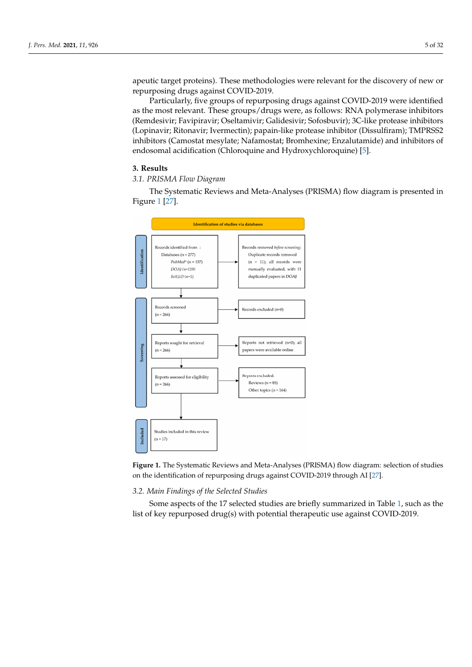apeutic target proteins). These methodologies were relevant for the discovery of new or repurposing drugs against COVID-2019.

repurposing analysing three-to-dimensional structure of the target receptor  $P_{\text{c}}$  and  $P_{\text{c}}$  and  $P_{\text{c}}$  and  $P_{\text{c}}$  are target receptor is not available, the groups of repurposing drugs against COVID-2019 were as the most relevant. These groups/drugs were, as follows: RNA polymerase inhibitors (Remdesivir; Favipiravir; Oseltamivir; Galidesivir; Sofosbuvir); 3C-like protease inhibitors (Lopinavir; Ritonavir; Ivermectin); papain-like protease inhibitor (Dissulfiram); TMPRSS2 inhibitors (Camostat mesylate; Nafamostat; Bromhexine; Enzalutamide) and inhibitors of endosomal acidification (Chloroquine and Hydroxychloroquine) [\[5\]](#page-29-4). Particularly, five groups of repurposing drugs against  $\mathsf{CO}^n$ nemuesivit, raviphavit, Oscitaniivit endosomal acidincation (Chloroquine and Hydroxychloroquine<sub>;</sub>

# **3. Results** of endosomal acidification (Chloroquine and Hydroxychloroquine) **[5].**

# 3.1. PRISMA Flow Diagram

*J. Pers. Med.* **2021**, *11*, x FOR PEER REVIEW 6 of 33

The Systematic Reviews and Meta-Analyses (PRISMA) flow diagram is presented in *3.1. PRISMA Flow Diagram*  Figure [1](#page-4-0) [\[27\]](#page-29-24).  $-5$   $-1$ 

<span id="page-4-0"></span>

**Figure 1.** The Systematic Reviews and Meta-Analyses (PRISMA) flow diagram: selection of studies on the identification of repurposing drugs against COVID-2019 through AI [\[27\]](#page-29-24).

# *3.2. Main Findings of the Selected Studies*

Some aspects of the 17 selected studies are briefly summarized in Table [1,](#page-10-0) such as the list of key repurposed drug(s) with potential therapeutic use against COVID-2019.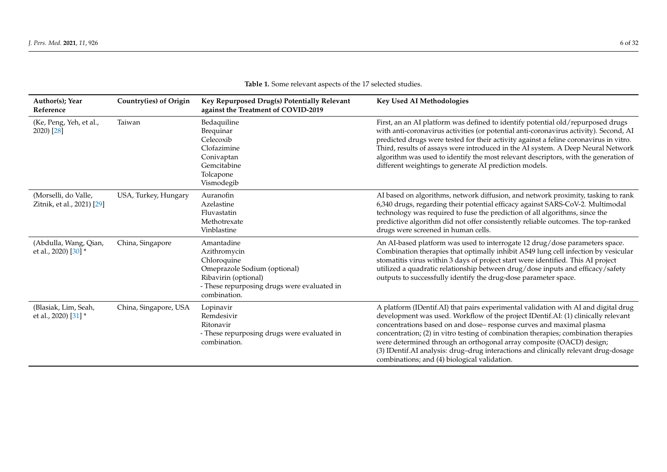| Author(s); Year<br>Reference                       | Country(ies) of Origin | Key Repurposed Drug(s) Potentially Relevant<br>against the Treatment of COVID-2019                                                                               | <b>Key Used AI Methodologies</b>                                                                                                                                                                                                                                                                                                                                                                                                                                                                                                                      |
|----------------------------------------------------|------------------------|------------------------------------------------------------------------------------------------------------------------------------------------------------------|-------------------------------------------------------------------------------------------------------------------------------------------------------------------------------------------------------------------------------------------------------------------------------------------------------------------------------------------------------------------------------------------------------------------------------------------------------------------------------------------------------------------------------------------------------|
| (Ke, Peng, Yeh, et al.,<br>2020) [28]              | Taiwan                 | Bedaquiline<br>Brequinar<br>Celecoxib<br>Clofazimine<br>Conivaptan<br>Gemcitabine<br>Tolcapone<br>Vismodegib                                                     | First, an an AI platform was defined to identify potential old/repurposed drugs<br>with anti-coronavirus activities (or potential anti-coronavirus activity). Second, AI<br>predicted drugs were tested for their activity against a feline coronavirus in vitro.<br>Third, results of assays were introduced in the AI system. A Deep Neural Network<br>algorithm was used to identify the most relevant descriptors, with the generation of<br>different weightings to generate AI prediction models.                                               |
| (Morselli, do Valle,<br>Zitnik, et al., 2021) [29] | USA, Turkey, Hungary   | Auranofin<br>Azelastine<br>Fluvastatin<br>Methotrexate<br>Vinblastine                                                                                            | AI based on algorithms, network diffusion, and network proximity, tasking to rank<br>6,340 drugs, regarding their potential efficacy against SARS-CoV-2. Multimodal<br>technology was required to fuse the prediction of all algorithms, since the<br>predictive algorithm did not offer consistently reliable outcomes. The top-ranked<br>drugs were screened in human cells.                                                                                                                                                                        |
| (Abdulla, Wang, Qian,<br>et al., 2020) [30] *      | China, Singapore       | Amantadine<br>Azithromycin<br>Chloroquine<br>Omeprazole Sodium (optional)<br>Ribavirin (optional)<br>- These repurposing drugs were evaluated in<br>combination. | An AI-based platform was used to interrogate 12 drug/dose parameters space.<br>Combination therapies that optimally inhibit A549 lung cell infection by vesicular<br>stomatitis virus within 3 days of project start were identified. This AI project<br>utilized a quadratic relationship between drug/dose inputs and efficacy/safety<br>outputs to successfully identify the drug-dose parameter space.                                                                                                                                            |
| (Blasiak, Lim, Seah,<br>et al., 2020) [31] *       | China, Singapore, USA  | Lopinavir<br>Remdesivir<br>Ritonavir<br>- These repurposing drugs were evaluated in<br>combination.                                                              | A platform (IDentif.AI) that pairs experimental validation with AI and digital drug<br>development was used. Workflow of the project IDentif.AI: (1) clinically relevant<br>concentrations based on and dose-response curves and maximal plasma<br>concentration; (2) in vitro testing of combination therapies; combination therapies<br>were determined through an orthogonal array composite (OACD) design;<br>(3) IDentif.AI analysis: drug-drug interactions and clinically relevant drug-dosage<br>combinations; and (4) biological validation. |

**Table 1.** Some relevant aspects of the 17 selected studies.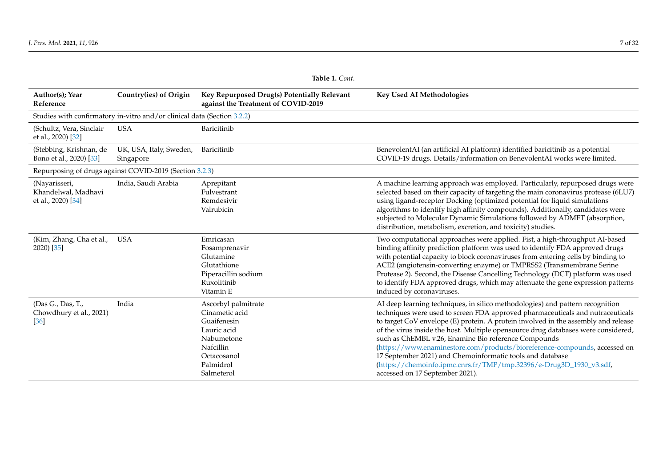|                                                            | Table 1. Cont.                                                          |                                                                                                                                          |                                                                                                                                                                                                                                                                                                                                                                                                                                                                                                                                                                                                                                                         |  |  |  |
|------------------------------------------------------------|-------------------------------------------------------------------------|------------------------------------------------------------------------------------------------------------------------------------------|---------------------------------------------------------------------------------------------------------------------------------------------------------------------------------------------------------------------------------------------------------------------------------------------------------------------------------------------------------------------------------------------------------------------------------------------------------------------------------------------------------------------------------------------------------------------------------------------------------------------------------------------------------|--|--|--|
| Author(s); Year<br>Reference                               | Country(ies) of Origin                                                  | Key Repurposed Drug(s) Potentially Relevant<br>against the Treatment of COVID-2019                                                       | <b>Key Used AI Methodologies</b>                                                                                                                                                                                                                                                                                                                                                                                                                                                                                                                                                                                                                        |  |  |  |
|                                                            | Studies with confirmatory in-vitro and/or clinical data (Section 3.2.2) |                                                                                                                                          |                                                                                                                                                                                                                                                                                                                                                                                                                                                                                                                                                                                                                                                         |  |  |  |
| (Schultz, Vera, Sinclair<br>et al., 2020) [32]             | <b>USA</b>                                                              | Baricitinib                                                                                                                              |                                                                                                                                                                                                                                                                                                                                                                                                                                                                                                                                                                                                                                                         |  |  |  |
| (Stebbing, Krishnan, de<br>Bono et al., 2020) [33]         | UK, USA, Italy, Sweden,<br>Singapore                                    | Baricitinib                                                                                                                              | BenevolentAI (an artificial AI platform) identified baricitinib as a potential<br>COVID-19 drugs. Details/information on BenevolentAI works were limited.                                                                                                                                                                                                                                                                                                                                                                                                                                                                                               |  |  |  |
|                                                            | Repurposing of drugs against COVID-2019 (Section 3.2.3)                 |                                                                                                                                          |                                                                                                                                                                                                                                                                                                                                                                                                                                                                                                                                                                                                                                                         |  |  |  |
| (Nayarisseri,<br>Khandelwal, Madhavi<br>et al., 2020) [34] | India, Saudi Arabia                                                     | Aprepitant<br>Fulvestrant<br>Remdesivir<br>Valrubicin                                                                                    | A machine learning approach was employed. Particularly, repurposed drugs were<br>selected based on their capacity of targeting the main coronavirus protease (6LU7)<br>using ligand-receptor Docking (optimized potential for liquid simulations<br>algorithms to identify high affinity compounds). Additionally, candidates were<br>subjected to Molecular Dynamic Simulations followed by ADMET (absorption,<br>distribution, metabolism, excretion, and toxicity) studies.                                                                                                                                                                          |  |  |  |
| (Kim, Zhang, Cha et al.,<br>2020) [35]                     | USA                                                                     | Emricasan<br>Fosamprenavir<br>Glutamine<br>Glutathione<br>Piperacillin sodium<br>Ruxolitinib<br>Vitamin E                                | Two computational approaches were applied. Fist, a high-throughput AI-based<br>binding affinity prediction platform was used to identify FDA approved drugs<br>with potential capacity to block coronaviruses from entering cells by binding to<br>ACE2 (angiotensin-converting enzyme) or TMPRSS2 (Transmembrane Serine<br>Protease 2). Second, the Disease Cancelling Technology (DCT) platform was used<br>to identify FDA approved drugs, which may attenuate the gene expression patterns<br>induced by coronaviruses.                                                                                                                             |  |  |  |
| (Das G., Das, T.,<br>Chowdhury et al., 2021)<br>$[36]$     | India                                                                   | Ascorbyl palmitrate<br>Cinametic acid<br>Guaifenesin<br>Lauric acid<br>Nabumetone<br>Nafcillin<br>Octacosanol<br>Palmidrol<br>Salmeterol | AI deep learning techniques, in silico methodologies) and pattern recognition<br>techniques were used to screen FDA approved pharmaceuticals and nutraceuticals<br>to target CoV envelope (E) protein. A protein involved in the assembly and release<br>of the virus inside the host. Multiple opensource drug databases were considered,<br>such as ChEMBL v.26, Enamine Bio reference Compounds<br>(https://www.enaminestore.com/products/bioreference-compounds, accessed on<br>17 September 2021) and Chemoinformatic tools and database<br>(https://chemoinfo.ipmc.cnrs.fr/TMP/tmp.32396/e-Drug3D_1930_v3.sdf,<br>accessed on 17 September 2021). |  |  |  |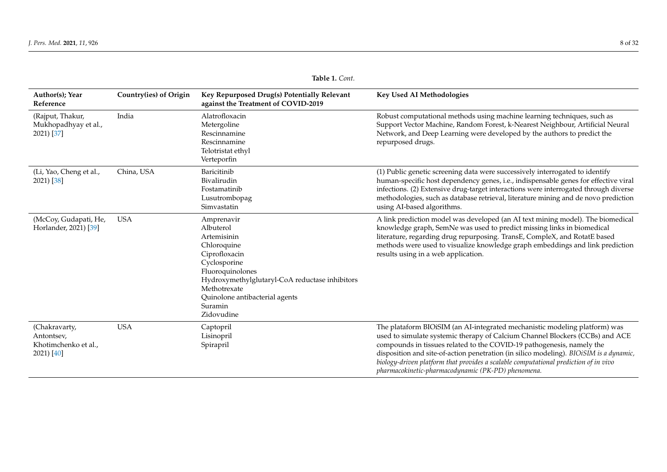|                                                                   | 10016 1. CVIII.        |                                                                                                                                                                                                                                         |                                                                                                                                                                                                                                                                                                                                                                                                                                                                             |  |  |
|-------------------------------------------------------------------|------------------------|-----------------------------------------------------------------------------------------------------------------------------------------------------------------------------------------------------------------------------------------|-----------------------------------------------------------------------------------------------------------------------------------------------------------------------------------------------------------------------------------------------------------------------------------------------------------------------------------------------------------------------------------------------------------------------------------------------------------------------------|--|--|
| Author(s); Year<br>Reference                                      | Country(ies) of Origin | Key Repurposed Drug(s) Potentially Relevant<br>against the Treatment of COVID-2019                                                                                                                                                      | <b>Key Used AI Methodologies</b>                                                                                                                                                                                                                                                                                                                                                                                                                                            |  |  |
| (Rajput, Thakur,<br>Mukhopadhyay et al.,<br>2021) [37]            | India                  | Alatrofloxacin<br>Metergoline<br>Rescinnamine<br>Rescinnamine<br>Telotristat ethyl<br>Verteporfin                                                                                                                                       | Robust computational methods using machine learning techniques, such as<br>Support Vector Machine, Random Forest, k-Nearest Neighbour, Artificial Neural<br>Network, and Deep Learning were developed by the authors to predict the<br>repurposed drugs.                                                                                                                                                                                                                    |  |  |
| (Li, Yao, Cheng et al.,<br>2021) [38]                             | China, USA             | Baricitinib<br>Bivalirudin<br>Fostamatinib<br>Lusutrombopag<br>Simvastatin                                                                                                                                                              | (1) Public genetic screening data were successively interrogated to identify<br>human-specific host dependency genes, i.e., indispensable genes for effective viral<br>infections. (2) Extensive drug-target interactions were interrogated through diverse<br>methodologies, such as database retrieval, literature mining and de novo prediction<br>using AI-based algorithms.                                                                                            |  |  |
| (McCoy, Gudapati, He,<br>Horlander, 2021) [39]                    | <b>USA</b>             | Amprenavir<br>Albuterol<br>Artemisinin<br>Chloroquine<br>Ciprofloxacin<br>Cyclosporine<br>Fluoroquinolones<br>Hydroxymethylglutaryl-CoA reductase inhibitors<br>Methotrexate<br>Quinolone antibacterial agents<br>Suramin<br>Zidovudine | A link prediction model was developed (an AI text mining model). The biomedical<br>knowledge graph, SemNe was used to predict missing links in biomedical<br>literature, regarding drug repurposing. TransE, CompleX, and RotatE based<br>methods were used to visualize knowledge graph embeddings and link prediction<br>results using in a web application.                                                                                                              |  |  |
| (Chakravarty,<br>Antontsev,<br>Khotimchenko et al.,<br>2021) [40] | <b>USA</b>             | Captopril<br>Lisinopril<br>Spirapril                                                                                                                                                                                                    | The plataform BIOiSIM (an AI-integrated mechanistic modeling platform) was<br>used to simulate systemic therapy of Calcium Channel Blockers (CCBs) and ACE<br>compounds in tissues related to the COVID-19 pathogenesis, namely the<br>disposition and site-of-action penetration (in silico modeling). BIOiSIM is a dynamic,<br>biology-driven platform that provides a scalable computational prediction of in vivo<br>pharmacokinetic-pharmacodynamic (PK-PD) phenomena. |  |  |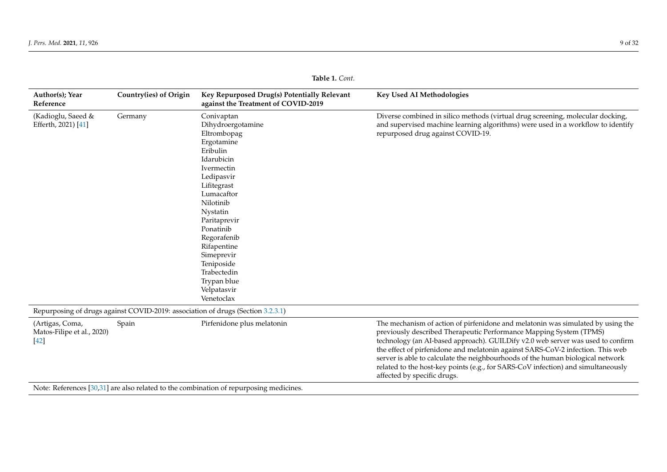|                                                         |                        | Tapie I. Com.                                                                                                                                                                                                                                                                                                              |                                                                                                                                                                                                                                                                                                                                                                                                                                                                                                                                 |  |  |  |  |  |
|---------------------------------------------------------|------------------------|----------------------------------------------------------------------------------------------------------------------------------------------------------------------------------------------------------------------------------------------------------------------------------------------------------------------------|---------------------------------------------------------------------------------------------------------------------------------------------------------------------------------------------------------------------------------------------------------------------------------------------------------------------------------------------------------------------------------------------------------------------------------------------------------------------------------------------------------------------------------|--|--|--|--|--|
| Author(s); Year<br>Reference                            | Country(ies) of Origin | Key Repurposed Drug(s) Potentially Relevant<br>against the Treatment of COVID-2019                                                                                                                                                                                                                                         | Key Used AI Methodologies                                                                                                                                                                                                                                                                                                                                                                                                                                                                                                       |  |  |  |  |  |
| (Kadioglu, Saeed &<br>Efferth, 2021) [41]               | Germany                | Conivaptan<br>Dihydroergotamine<br>Eltrombopag<br>Ergotamine<br>Eribulin<br>Idarubicin<br>Ivermectin<br>Ledipasvir<br>Lifitegrast<br>Lumacaftor<br>Nilotinib<br>Nystatin<br>Paritaprevir<br>Ponatinib<br>Regorafenib<br>Rifapentine<br>Simeprevir<br>Teniposide<br>Trabectedin<br>Trypan blue<br>Velpatasvir<br>Venetoclax | Diverse combined in silico methods (virtual drug screening, molecular docking,<br>and supervised machine learning algorithms) were used in a workflow to identify<br>repurposed drug against COVID-19.                                                                                                                                                                                                                                                                                                                          |  |  |  |  |  |
|                                                         |                        | Repurposing of drugs against COVID-2019: association of drugs (Section 3.2.3.1)                                                                                                                                                                                                                                            |                                                                                                                                                                                                                                                                                                                                                                                                                                                                                                                                 |  |  |  |  |  |
| (Artigas, Coma,<br>Matos-Filipe et al., 2020)<br>$[42]$ | Spain                  | Pirfenidone plus melatonin                                                                                                                                                                                                                                                                                                 | The mechanism of action of pirfenidone and melatonin was simulated by using the<br>previously described Therapeutic Performance Mapping System (TPMS)<br>technology (an AI-based approach). GUILDify v2.0 web server was used to confirm<br>the effect of pirfenidone and melatonin against SARS-CoV-2 infection. This web<br>server is able to calculate the neighbourhoods of the human biological network<br>related to the host-key points (e.g., for SARS-CoV infection) and simultaneously<br>affected by specific drugs. |  |  |  |  |  |
|                                                         |                        | Note: References [30,31] are also related to the combination of repurposing medicines.                                                                                                                                                                                                                                     |                                                                                                                                                                                                                                                                                                                                                                                                                                                                                                                                 |  |  |  |  |  |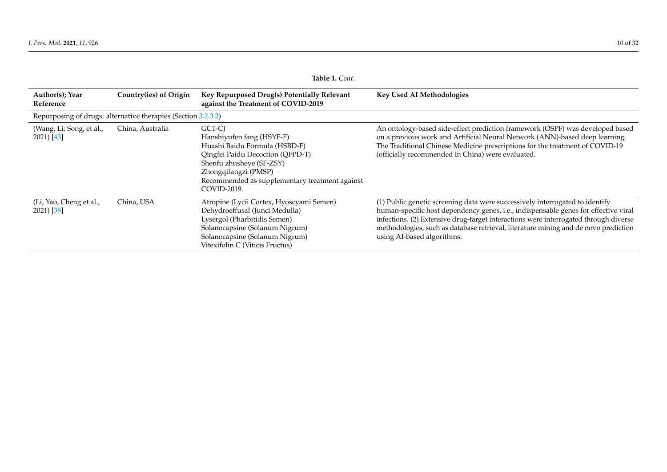|                                                               | lable 1. Cont.         |                                                                                                                                                                                                                               |                                                                                                                                                                                                                                                                                                                                                                                  |  |  |
|---------------------------------------------------------------|------------------------|-------------------------------------------------------------------------------------------------------------------------------------------------------------------------------------------------------------------------------|----------------------------------------------------------------------------------------------------------------------------------------------------------------------------------------------------------------------------------------------------------------------------------------------------------------------------------------------------------------------------------|--|--|
| Author(s); Year<br>Reference                                  | Country(ies) of Origin | Key Repurposed Drug(s) Potentially Relevant<br>against the Treatment of COVID-2019                                                                                                                                            | <b>Key Used AI Methodologies</b>                                                                                                                                                                                                                                                                                                                                                 |  |  |
| Repurposing of drugs: alternative therapies (Section 3.2.3.2) |                        |                                                                                                                                                                                                                               |                                                                                                                                                                                                                                                                                                                                                                                  |  |  |
| (Wang, Li; Song, et al.,<br>2021) [43]                        | China, Australia       | GCT-CJ<br>Hanshiyufen fang (HSYF-F)<br>Huashi Baidu Formula (HSBD-F)<br>Qingfei Paidu Decoction (QFPD-T)<br>Shenfu zhusheye (SF-ZSY)<br>Zhongqifangzi (PMSP)<br>Recommended as supplementary treatment against<br>COVID-2019. | An ontology-based side-effect prediction framework (OSPF) was developed based<br>on a previous work and Artificial Neural Network (ANN)-based deep learning.<br>The Traditional Chinese Medicine prescriptions for the treatment of COVID-19<br>(officially recommended in China) were evaluated.                                                                                |  |  |
| (Li, Yao, Cheng et al.,<br>2021) [38]                         | China, USA             | Atropine (Lycii Cortex, Hyoscyami Semen)<br>Dehydroeffusal (Junci Medulla)<br>Lysergol (Pharbitidis Semen)<br>Solanocapsine (Solanum Nigrum)<br>Solanocapsine (Solanum Nigrum)<br>Vitexifolin C (Viticis Fructus)             | (1) Public genetic screening data were successively interrogated to identify<br>human-specific host dependency genes, i.e., indispensable genes for effective viral<br>infections. (2) Extensive drug-target interactions were interrogated through diverse<br>methodologies, such as database retrieval, literature mining and de novo prediction<br>using AI-based algorithms. |  |  |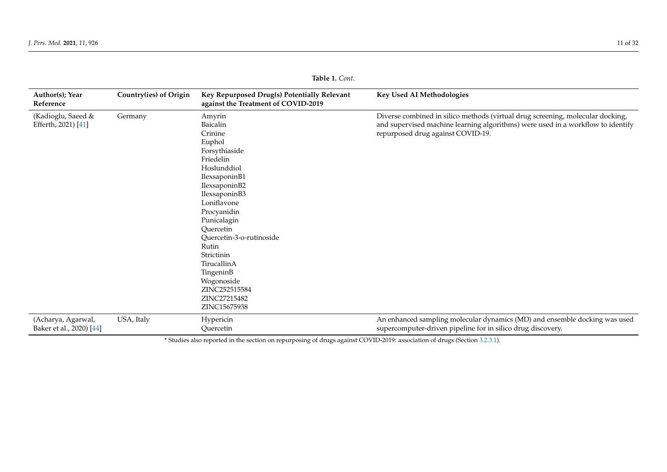| Author(s); Year<br>Reference                   | Country(ies) of Origin | Key Repurposed Drug(s) Potentially Relevant<br>against the Treatment of COVID-2019                                                                                                                                                                                                                                                              | Key Used AI Methodologies                                                                                                                                                                              |
|------------------------------------------------|------------------------|-------------------------------------------------------------------------------------------------------------------------------------------------------------------------------------------------------------------------------------------------------------------------------------------------------------------------------------------------|--------------------------------------------------------------------------------------------------------------------------------------------------------------------------------------------------------|
| (Kadioglu, Saeed &<br>Efferth, 2021) [41]      | Germany                | Amyrin<br>Baicalin<br>Crinine<br>Euphol<br>Forsythiaside<br>Friedelin<br>Hoslunddiol<br>IlexsaponinB1<br>IlexsaponinB2<br>IlexsaponinB3<br>Loniflavone<br>Procyanidin<br>Punicalagin<br>Ouercetin<br>Quercetin-3-o-rutinoside<br>Rutin<br>Strictinin<br>TirucallinA<br>TingeninB<br>Wogonoside<br>ZINC252515584<br>ZINC27215482<br>ZINC15675938 | Diverse combined in silico methods (virtual drug screening, molecular docking,<br>and supervised machine learning algorithms) were used in a workflow to identify<br>repurposed drug against COVID-19. |
| (Acharya, Agarwal,<br>Baker et al., 2020) [44] | USA, Italy             | Hypericin<br>Quercetin                                                                                                                                                                                                                                                                                                                          | An enhanced sampling molecular dynamics (MD) and ensemble docking was used<br>supercomputer-driven pipeline for in silico drug discovery.                                                              |

<span id="page-10-0"></span>\* Studies also reported in the section on repurposing of drugs against COVID-2019: association of drugs (Section [3.2.3.1\)](#page-16-0).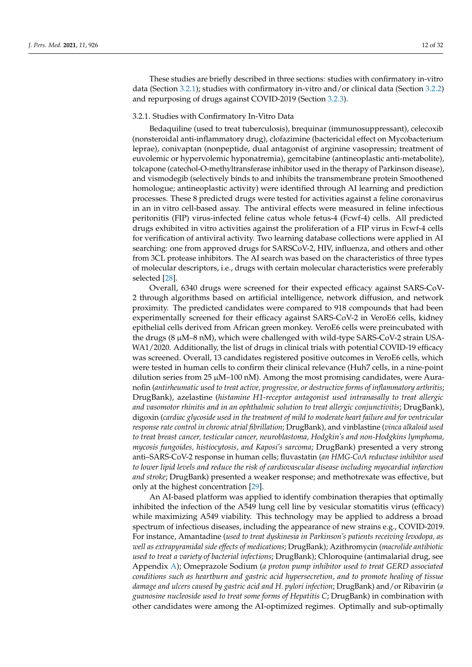These studies are briefly described in three sections: studies with confirmatory in-vitro data (Section [3.2.1\)](#page-11-0); studies with confirmatory in-vitro and/or clinical data (Section [3.2.2\)](#page-12-2) and repurposing of drugs against COVID-2019 (Section [3.2.3\)](#page-12-3).

#### <span id="page-11-0"></span>3.2.1. Studies with Confirmatory In-Vitro Data

Bedaquiline (used to treat tuberculosis), brequinar (immunosuppressant), celecoxib (nonsteroidal anti-inflammatory drug), clofazimine (bactericidal effect on Mycobacterium leprae), conivaptan (nonpeptide, dual antagonist of arginine vasopressin; treatment of euvolemic or hypervolemic hyponatremia), gemcitabine (antineoplastic anti-metabolite), tolcapone (catechol-O-methyltransferase inhibitor used in the therapy of Parkinson disease), and vismodegib (selectively binds to and inhibits the transmembrane protein Smoothened homologue; antineoplastic activity) were identified through AI learning and prediction processes. These 8 predicted drugs were tested for activities against a feline coronavirus in an in vitro cell-based assay. The antiviral effects were measured in feline infectious peritonitis (FIP) virus-infected feline catus whole fetus-4 (Fcwf-4) cells. All predicted drugs exhibited in vitro activities against the proliferation of a FIP virus in Fcwf-4 cells for verification of antiviral activity. Two learning database collections were applied in AI searching: one from approved drugs for SARSCoV-2, HIV, influenza, and others and other from 3CL protease inhibitors. The AI search was based on the characteristics of three types of molecular descriptors, i.e., drugs with certain molecular characteristics were preferably selected [\[28\]](#page-30-17).

Overall, 6340 drugs were screened for their expected efficacy against SARS-CoV-2 through algorithms based on artificial intelligence, network diffusion, and network proximity. The predicted candidates were compared to 918 compounds that had been experimentally screened for their efficacy against SARS-CoV-2 in VeroE6 cells, kidney epithelial cells derived from African green monkey. VeroE6 cells were preincubated with the drugs (8 µM–8 nM), which were challenged with wild-type SARS-CoV-2 strain USA-WA1/2020. Additionally, the list of drugs in clinical trials with potential COVID-19 efficacy was screened. Overall, 13 candidates registered positive outcomes in VeroE6 cells, which were tested in human cells to confirm their clinical relevance (Huh7 cells, in a nine-point dilution series from 25  $\mu$ M–100 nM). Among the most promising candidates, were Auranofin (*antirheumatic used to treat active, progressive, or destructive forms of inflammatory arthritis*; DrugBank), azelastine (*histamine H1-receptor antagonist used intranasally to treat allergic and vasomotor rhinitis and in an ophthalmic solution to treat allergic conjunctivitis*; DrugBank), digoxin (*cardiac glycoside used in the treatment of mild to moderate heart failure and for ventricular response rate control in chronic atrial fibrillation*; DrugBank), and vinblastine (*vinca alkaloid used to treat breast cancer, testicular cancer, neuroblastoma, Hodgkin's and non-Hodgkins lymphoma, mycosis fungoides, histiocytosis, and Kaposi's sarcoma*; DrugBank) presented a very strong anti–SARS-CoV-2 response in human cells; fluvastatin (*an HMG-CoA reductase inhibitor used to lower lipid levels and reduce the risk of cardiovascular disease including myocardial infarction and stroke*; DrugBank) presented a weaker response; and methotrexate was effective, but only at the highest concentration [\[29\]](#page-30-18).

An AI-based platform was applied to identify combination therapies that optimally inhibited the infection of the A549 lung cell line by vesicular stomatitis virus (efficacy) while maximizing A549 viability. This technology may be applied to address a broad spectrum of infectious diseases, including the appearance of new strains e.g., COVID-2019. For instance, Amantadine (*used to treat dyskinesia in Parkinson's patients receiving levodopa, as well as extrapyramidal side effects of medications*; DrugBank); Azithromycin (*macrolide antibiotic used to treat a variety of bacterial infections*; DrugBank); Chloroquine (antimalarial drug, see Appendix [A\)](#page-23-0); Omeprazole Sodium (*a proton pump inhibitor used to treat GERD associated conditions such as heartburn and gastric acid hypersecretion, and to promote healing of tissue damage and ulcers caused by gastric acid and H. pylori infection*; DrugBank) and/or Ribavirin (*a guanosine nucleoside used to treat some forms of Hepatitis C*; DrugBank) in combination with other candidates were among the AI-optimized regimes. Optimally and sub-optimally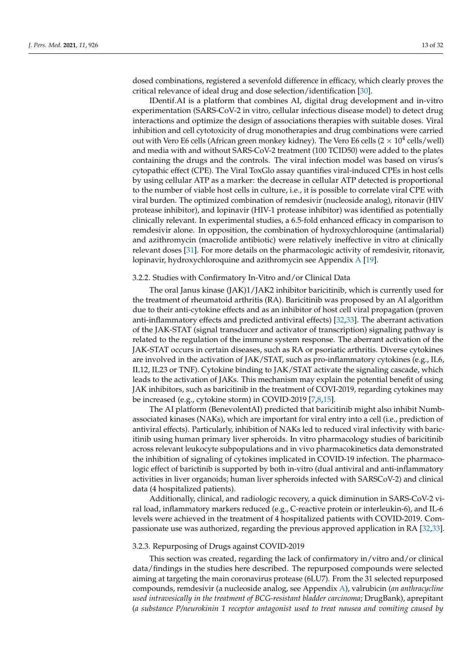<span id="page-12-0"></span>dosed combinations, registered a sevenfold difference in efficacy, which clearly proves the critical relevance of ideal drug and dose selection/identification [\[30\]](#page-30-19).

IDentif.AI is a platform that combines AI, digital drug development and in-vitro experimentation (SARS-CoV-2 in vitro, cellular infectious disease model) to detect drug interactions and optimize the design of associations therapies with suitable doses. Viral inhibition and cell cytotoxicity of drug monotherapies and drug combinations were carried out with Vero E6 cells (African green monkey kidney). The Vero E6 cells (2  $\times$  10<sup>4</sup> cells/well) and media with and without SARS-CoV-2 treatment (100 TCID50) were added to the plates containing the drugs and the controls. The viral infection model was based on virus's cytopathic effect (CPE). The Viral ToxGlo assay quantifies viral-induced CPEs in host cells by using cellular ATP as a marker: the decrease in cellular ATP detected is proportional to the number of viable host cells in culture, i.e., it is possible to correlate viral CPE with viral burden. The optimized combination of remdesivir (nucleoside analog), ritonavir (HIV protease inhibitor), and lopinavir (HIV-1 protease inhibitor) was identified as potentially clinically relevant. In experimental studies, a 6.5-fold enhanced efficacy in comparison to remdesivir alone. In opposition, the combination of hydroxychloroquine (antimalarial) and azithromycin (macrolide antibiotic) were relatively ineffective in vitro at clinically relevant doses [\[31\]](#page-30-20). For more details on the pharmacologic activity of remdesivir, ritonavir, lopinavir, hydroxychloroquine and azithromycin see Appendix [A](#page-23-0) [\[19\]](#page-29-16).

# <span id="page-12-2"></span>3.2.2. Studies with Confirmatory In-Vitro and/or Clinical Data

The oral Janus kinase (JAK)1/JAK2 inhibitor baricitinib, which is currently used for the treatment of rheumatoid arthritis (RA). Baricitinib was proposed by an AI algorithm due to their anti-cytokine effects and as an inhibitor of host cell viral propagation (proven anti-inflammatory effects and predicted antiviral effects) [\[32](#page-30-21)[,33\]](#page-30-22). The aberrant activation of the JAK-STAT (signal transducer and activator of transcription) signaling pathway is related to the regulation of the immune system response. The aberrant activation of the JAK-STAT occurs in certain diseases, such as RA or psoriatic arthritis. Diverse cytokines are involved in the activation of JAK/STAT, such as pro-inflammatory cytokines (e.g., IL6, IL12, IL23 or TNF). Cytokine binding to JAK/STAT activate the signaling cascade, which leads to the activation of JAKs. This mechanism may explain the potential benefit of using JAK inhibitors, such as baricitinib in the treatment of COVI-2019, regarding cytokines may be increased (e.g., cytokine storm) in COVID-2019 [\[7](#page-29-6)[,8](#page-29-5)[,15\]](#page-29-12).

<span id="page-12-1"></span>The AI platform (BenevolentAI) predicted that baricitinib might also inhibit Numbassociated kinases (NAKs), which are important for viral entry into a cell (i.e., prediction of antiviral effects). Particularly, inhibition of NAKs led to reduced viral infectivity with baricitinib using human primary liver spheroids. In vitro pharmacology studies of baricitinib across relevant leukocyte subpopulations and in vivo pharmacokinetics data demonstrated the inhibition of signaling of cytokines implicated in COVID-19 infection. The pharmacologic effect of barictinib is supported by both in-vitro (dual antiviral and anti-inflammatory activities in liver organoids; human liver spheroids infected with SARSCoV-2) and clinical data (4 hospitalized patients).

Additionally, clinical, and radiologic recovery, a quick diminution in SARS-CoV-2 viral load, inflammatory markers reduced (e.g., C-reactive protein or interleukin-6), and IL-6 levels were achieved in the treatment of 4 hospitalized patients with COVID-2019. Compassionate use was authorized, regarding the previous approved application in RA [\[32](#page-30-21)[,33\]](#page-30-22).

## <span id="page-12-3"></span>3.2.3. Repurposing of Drugs against COVID-2019

This section was created, regarding the lack of confirmatory in/vitro and/or clinical data/findings in the studies here described. The repurposed compounds were selected aiming at targeting the main coronavirus protease (6LU7). From the 31 selected repurposed compounds, remdesivir (a nucleoside analog, see Appendix [A\)](#page-23-0), valrubicin (*an anthracycline used intravesically in the treatment of BCG-resistant bladder carcinoma*; DrugBank), aprepitant (*a substance P/neurokinin 1 receptor antagonist used to treat nausea and vomiting caused by*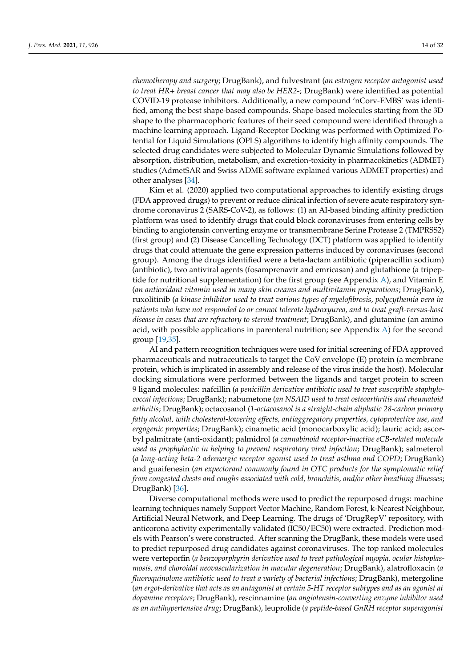*chemotherapy and surgery*; DrugBank), and fulvestrant (*an estrogen receptor antagonist used to treat HR+ breast cancer that may also be HER2-*; DrugBank) were identified as potential COVID-19 protease inhibitors. Additionally, a new compound 'nCorv-EMBS' was identified, among the best shape-based compounds. Shape-based molecules starting from the 3D shape to the pharmacophoric features of their seed compound were identified through a machine learning approach. Ligand-Receptor Docking was performed with Optimized Potential for Liquid Simulations (OPLS) algorithms to identify high affinity compounds. The selected drug candidates were subjected to Molecular Dynamic Simulations followed by absorption, distribution, metabolism, and excretion-toxicity in pharmacokinetics (ADMET) studies (AdmetSAR and Swiss ADME software explained various ADMET properties) and other analyses [\[34\]](#page-30-23).

Kim et al. (2020) applied two computational approaches to identify existing drugs (FDA approved drugs) to prevent or reduce clinical infection of severe acute respiratory syndrome coronavirus 2 (SARS-CoV-2), as follows: (1) an AI-based binding affinity prediction platform was used to identify drugs that could block coronaviruses from entering cells by binding to angiotensin converting enzyme or transmembrane Serine Protease 2 (TMPRSS2) (first group) and (2) Disease Cancelling Technology (DCT) platform was applied to identify drugs that could attenuate the gene expression patterns induced by coronaviruses (second group). Among the drugs identified were a beta-lactam antibiotic (piperacillin sodium) (antibiotic), two antiviral agents (fosamprenavir and emricasan) and glutathione (a tripeptide for nutritional supplementation) for the first group (see Appendix  $A$ ), and Vitamin E (*an antioxidant vitamin used in many skin creams and multivitamin preparations*; DrugBank), ruxolitinib (*a kinase inhibitor used to treat various types of myelofibrosis, polycythemia vera in patients who have not responded to or cannot tolerate hydroxyurea, and to treat graft-versus-host disease in cases that are refractory to steroid treatment*; DrugBank), and glutamine (an amino acid, with possible applications in parenteral nutrition; see Appendix  $\overline{A}$ ) for the second group [\[19](#page-29-16)[,35\]](#page-30-24).

AI and pattern recognition techniques were used for initial screening of FDA approved pharmaceuticals and nutraceuticals to target the CoV envelope (E) protein (a membrane protein, which is implicated in assembly and release of the virus inside the host). Molecular docking simulations were performed between the ligands and target protein to screen 9 ligand molecules: nafcillin (*a penicillin derivative antibiotic used to treat susceptible staphylococcal infections*; DrugBank); nabumetone (*an NSAID used to treat osteoarthritis and rheumatoid arthritis*; DrugBank); octacosanol (*1-octacosanol is a straight-chain aliphatic 28-carbon primary fatty alcohol, with cholesterol-lowering effects, antiaggregatory properties, cytoprotective use, and ergogenic properties*; DrugBank); cinametic acid (monocarboxylic acid); lauric acid; ascorbyl palmitrate (anti-oxidant); palmidrol (*a cannabinoid receptor-inactive eCB-related molecule used as prophylactic in helping to prevent respiratory viral infection*; DrugBank); salmeterol (*a long-acting beta-2 adrenergic receptor agonist used to treat asthma and COPD*; DrugBank) and guaifenesin (*an expectorant commonly found in OTC products for the symptomatic relief from congested chests and coughs associated with cold, bronchitis, and/or other breathing illnesses*; DrugBank) [\[36\]](#page-30-25).

Diverse computational methods were used to predict the repurposed drugs: machine learning techniques namely Support Vector Machine, Random Forest, k-Nearest Neighbour, Artificial Neural Network, and Deep Learning. The drugs of 'DrugRepV' repository, with anticorona activity experimentally validated (IC50/EC50) were extracted. Prediction models with Pearson's were constructed. After scanning the DrugBank, these models were used to predict repurposed drug candidates against coronaviruses. The top ranked molecules were verteporfin (*a benzoporphyrin derivative used to treat pathological myopia, ocular histoplasmosis, and choroidal neovascularization in macular degeneration*; DrugBank), alatrofloxacin (*a fluoroquinolone antibiotic used to treat a variety of bacterial infections*; DrugBank), metergoline (*an ergot-derivative that acts as an antagonist at certain 5-HT receptor subtypes and as an agonist at dopamine receptors*; DrugBank), rescinnamine (*an angiotensin-converting enzyme inhibitor used as an antihypertensive drug*; DrugBank), leuprolide (*a peptide-based GnRH receptor superagonist*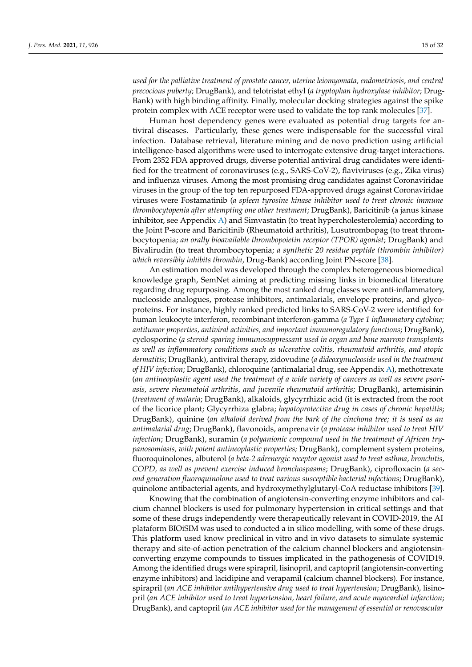*used for the palliative treatment of prostate cancer, uterine leiomyomata, endometriosis, and central precocious puberty*; DrugBank), and telotristat ethyl (*a tryptophan hydroxylase inhibitor*; Drug-Bank) with high binding affinity. Finally, molecular docking strategies against the spike protein complex with ACE receptor were used to validate the top rank molecules [\[37\]](#page-30-26).

Human host dependency genes were evaluated as potential drug targets for antiviral diseases. Particularly, these genes were indispensable for the successful viral infection. Database retrieval, literature mining and de novo prediction using artificial intelligence-based algorithms were used to interrogate extensive drug-target interactions. From 2352 FDA approved drugs, diverse potential antiviral drug candidates were identified for the treatment of coronaviruses (e.g., SARS-CoV-2), flaviviruses (e.g., Zika virus) and influenza viruses. Among the most promising drug candidates against Coronaviridae viruses in the group of the top ten repurposed FDA-approved drugs against Coronaviridae viruses were Fostamatinib (*a spleen tyrosine kinase inhibitor used to treat chronic immune thrombocytopenia after attempting one other treatment*; DrugBank), Baricitinib (a janus kinase inhibitor, see Appendix [A\)](#page-23-0) and Simvastatin (to treat hypercholesterolemia) according to the Joint P-score and Baricitinib (Rheumatoid arthritis), Lusutrombopag (to treat thrombocytopenia; *an orally bioavailable thrombopoietin receptor (TPOR) agonist*; DrugBank) and Bivalirudin (to treat thrombocytopenia; *a synthetic 20 residue peptide (thrombin inhibitor) which reversibly inhibits thrombin*, Drug-Bank) according Joint PN-score [\[38\]](#page-30-27).

An estimation model was developed through the complex heterogeneous biomedical knowledge graph, SemNet aiming at predicting missing links in biomedical literature regarding drug repurposing. Among the most ranked drug classes were anti-inflammatory, nucleoside analogues, protease inhibitors, antimalarials, envelope proteins, and glycoproteins. For instance, highly ranked predicted links to SARS-CoV-2 were identified for human leukocyte interferon, recombinant interferon-gamma (*a Type 1 inflammatory cytokine; antitumor properties, antiviral activities, and important immunoregulatory functions*; DrugBank), cyclosporine (*a steroid-sparing immunosuppressant used in organ and bone marrow transplants as well as inflammatory conditions such as ulcerative colitis, rheumatoid arthritis, and atopic dermatitis*; DrugBank), antiviral therapy, zidovudine (*a dideoxynucleoside used in the treatment of HIV infection*; DrugBank), chloroquine (antimalarial drug, see Appendix [A\)](#page-23-0), methotrexate (*an antineoplastic agent used the treatment of a wide variety of cancers as well as severe psoriasis, severe rheumatoid arthritis, and juvenile rheumatoid arthritis*; DrugBank), artemisinin (*treatment of malaria*; DrugBank), alkaloids, glycyrrhizic acid (it is extracted from the root of the licorice plant; Glycyrrhiza glabra; *hepatoprotective drug in cases of chronic hepatitis*; DrugBank), quinine (*an alkaloid derived from the bark of the cinchona tree; it is used as an antimalarial drug*; DrugBank), flavonoids, amprenavir (*a protease inhibitor used to treat HIV infection*; DrugBank), suramin (*a polyanionic compound used in the treatment of African trypanosomiasis, with potent antineoplastic properties;* DrugBank), complement system proteins, fluoroquinolones, albuterol (*a beta-2 adrenergic receptor agonist used to treat asthma, bronchitis, COPD, as well as prevent exercise induced bronchospasms*; DrugBank), ciprofloxacin (*a second generation fluoroquinolone used to treat various susceptible bacterial infections*; DrugBank), quinolone antibacterial agents, and hydroxymethylglutaryl-CoA reductase inhibitors [\[39\]](#page-30-28).

Knowing that the combination of angiotensin-converting enzyme inhibitors and calcium channel blockers is used for pulmonary hypertension in critical settings and that some of these drugs independently were therapeutically relevant in COVID-2019, the AI plataform BIOiSIM was used to conducted a in silico modelling, with some of these drugs. This platform used know preclinical in vitro and in vivo datasets to simulate systemic therapy and site-of-action penetration of the calcium channel blockers and angiotensinconverting enzyme compounds to tissues implicated in the pathogenesis of COVID19. Among the identified drugs were spirapril, lisinopril, and captopril (angiotensin-converting enzyme inhibitors) and lacidipine and verapamil (calcium channel blockers). For instance, spirapril (*an ACE inhibitor antihypertensive drug used to treat hypertension*; DrugBank), lisinopril (*an ACE inhibitor used to treat hypertension, heart failure, and acute myocardial infarction*; DrugBank), and captopril (*an ACE inhibitor used for the management of essential or renovascular*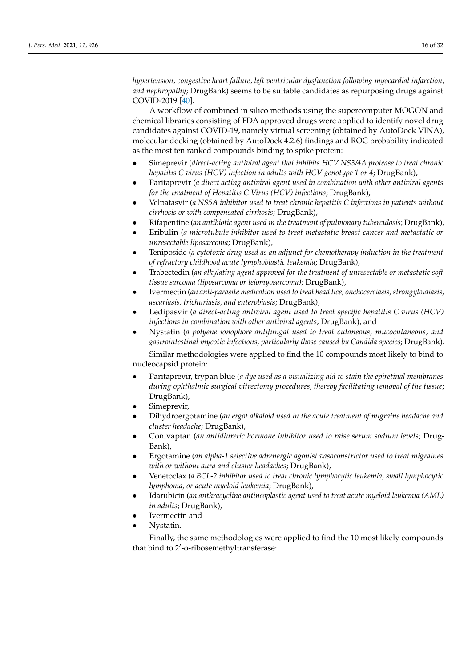*hypertension, congestive heart failure, left ventricular dysfunction following myocardial infarction, and nephropathy*; DrugBank) seems to be suitable candidates as repurposing drugs against COVID-2019 [\[40\]](#page-30-29).

A workflow of combined in silico methods using the supercomputer MOGON and chemical libraries consisting of FDA approved drugs were applied to identify novel drug candidates against COVID-19, namely virtual screening (obtained by AutoDock VINA), molecular docking (obtained by AutoDock 4.2.6) findings and ROC probability indicated as the most ten ranked compounds binding to spike protein:

- Simeprevir (*direct-acting antiviral agent that inhibits HCV NS3/4A protease to treat chronic hepatitis C virus (HCV) infection in adults with HCV genotype 1 or 4*; DrugBank),
- Paritaprevir (*a direct acting antiviral agent used in combination with other antiviral agents for the treatment of Hepatitis C Virus (HCV) infections*; DrugBank),
- Velpatasvir (*a NS5A inhibitor used to treat chronic hepatitis C infections in patients without cirrhosis or with compensated cirrhosis*; DrugBank),
- Rifapentine (*an antibiotic agent used in the treatment of pulmonary tuberculosis*; DrugBank),
- Eribulin (*a microtubule inhibitor used to treat metastatic breast cancer and metastatic or unresectable liposarcoma*; DrugBank),
- Teniposide (*a cytotoxic drug used as an adjunct for chemotherapy induction in the treatment of refractory childhood acute lymphoblastic leukemia*; DrugBank),
- Trabectedin (*an alkylating agent approved for the treatment of unresectable or metastatic soft tissue sarcoma (liposarcoma or leiomyosarcoma)*; DrugBank),
- Ivermectin (*an anti-parasite medication used to treat head lice, onchocerciasis, strongyloidiasis, ascariasis, trichuriasis, and enterobiasis*; DrugBank),
- Ledipasvir (*a direct-acting antiviral agent used to treat specific hepatitis C virus (HCV) infections in combination with other antiviral agents*; DrugBank), and
- Nystatin (*a polyene ionophore antifungal used to treat cutaneous, mucocutaneous, and gastrointestinal mycotic infections, particularly those caused by Candida species*; DrugBank).

Similar methodologies were applied to find the 10 compounds most likely to bind to nucleocapsid protein:

- Paritaprevir, trypan blue (*a dye used as a visualizing aid to stain the epiretinal membranes during ophthalmic surgical vitrectomy procedures, thereby facilitating removal of the tissue*; DrugBank),
- Simeprevir,
- Dihydroergotamine (*an ergot alkaloid used in the acute treatment of migraine headache and cluster headache*; DrugBank),
- Conivaptan (*an antidiuretic hormone inhibitor used to raise serum sodium levels*; Drug-Bank),
- Ergotamine (*an alpha-1 selective adrenergic agonist vasoconstrictor used to treat migraines with or without aura and cluster headaches*; DrugBank),
- Venetoclax (*a BCL-2 inhibitor used to treat chronic lymphocytic leukemia, small lymphocytic lymphoma, or acute myeloid leukemia*; DrugBank),
- Idarubicin (*an anthracycline antineoplastic agent used to treat acute myeloid leukemia (AML) in adults*; DrugBank),
- Ivermectin and
- Nystatin.

Finally, the same methodologies were applied to find the 10 most likely compounds that bind to 2'-o-ribosemethyltransferase: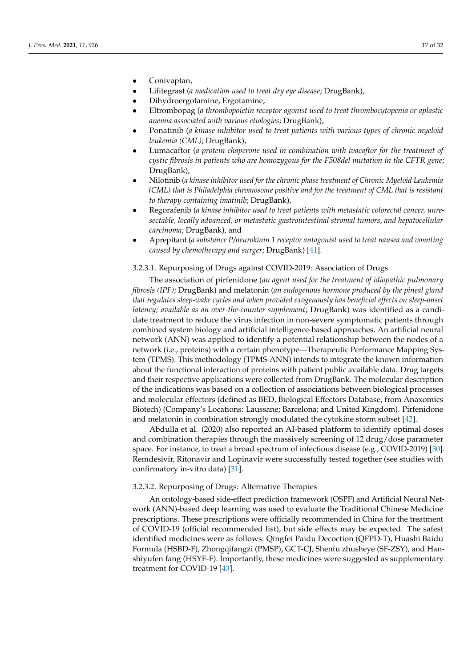- <span id="page-16-0"></span>• Conivaptan,
- Lifitegrast (*a medication used to treat dry eye disease*; DrugBank),
- Dihydroergotamine, Ergotamine,
- Eltrombopag (*a thrombopoietin receptor agonist used to treat thrombocytopenia or aplastic anemia associated with various etiologies*; DrugBank),
- Ponatinib (*a kinase inhibitor used to treat patients with various types of chronic myeloid leukemia (CML)*; DrugBank),
- Lumacaftor (*a protein chaperone used in combination with ivacaftor for the treatment of cystic fibrosis in patients who are homozygous for the F508del mutation in the CFTR gene*; DrugBank),
- Nilotinib (*a kinase inhibitor used for the chronic phase treatment of Chronic Myeloid Leukemia (CML) that is Philadelphia chromosome positive and for the treatment of CML that is resistant to therapy containing imatinib*; DrugBank),
- Regorafenib (*a kinase inhibitor used to treat patients with metastatic colorectal cancer, unresectable, locally advanced, or metastatic gastrointestinal stromal tumors, and hepatocellular carcinoma*; DrugBank), and
- Aprepitant (*a substance P/neurokinin 1 receptor antagonist used to treat nausea and vomiting caused by chemotherapy and surger*; DrugBank) [\[41\]](#page-30-30).

### 3.2.3.1. Repurposing of Drugs against COVID-2019: Association of Drugs

<span id="page-16-1"></span>The association of pirfenidone (*an agent used for the treatment of idiopathic pulmonary fibrosis (IPF)*; DrugBank) and melatonin (*an endogenous hormone produced by the pineal gland that regulates sleep-wake cycles and when provided exogenously has beneficial effects on sleep-onset latency; available as an over-the-counter supplement*; DrugBank) was identified as a candidate treatment to reduce the virus infection in non-severe symptomatic patients through combined system biology and artificial intelligence-based approaches. An artificial neural network (ANN) was applied to identify a potential relationship between the nodes of a network (i.e., proteins) with a certain phenotype—Therapeutic Performance Mapping System (TPMS). This methodology (TPMS-ANN) intends to integrate the known information about the functional interaction of proteins with patient public available data. Drug targets and their respective applications were collected from DrugBank. The molecular description of the indications was based on a collection of associations between biological processes and molecular effectors (defined as BED, Biological Effectors Database, from Anaxomics Biotech) (Company's Locations: Laussane; Barcelona; and United Kingdom). Pirfenidone and melatonin in combination strongly modulated the cytokine storm subset [\[42\]](#page-30-31).

Abdulla et al. (2020) also reported an AI-based platform to identify optimal doses and combination therapies through the massively screening of 12 drug/dose parameter space. For instance, to treat a broad spectrum of infectious disease (e.g., COVID-2019) [\[30\]](#page-30-19). Remdesivir, Ritonavir and Lopinavir were successfully tested together (see studies with confirmatory in-vitro data) [\[31\]](#page-30-20).

## 3.2.3.2. Repurposing of Drugs: Alternative Therapies

An ontology-based side-effect prediction framework (OSPF) and Artificial Neural Network (ANN)-based deep learning was used to evaluate the Traditional Chinese Medicine prescriptions. These prescriptions were officially recommended in China for the treatment of COVID-19 (official recommended list), but side effects may be expected. The safest identified medicines were as follows: Qingfei Paidu Decoction (QFPD-T), Huashi Baidu Formula (HSBD-F), Zhongqifangzi (PMSP), GCT-CJ, Shenfu zhusheye (SF-ZSY), and Hanshiyufen fang (HSYF-F). Importantly, these medicines were suggested as supplementary treatment for COVID-19 [\[43\]](#page-30-32).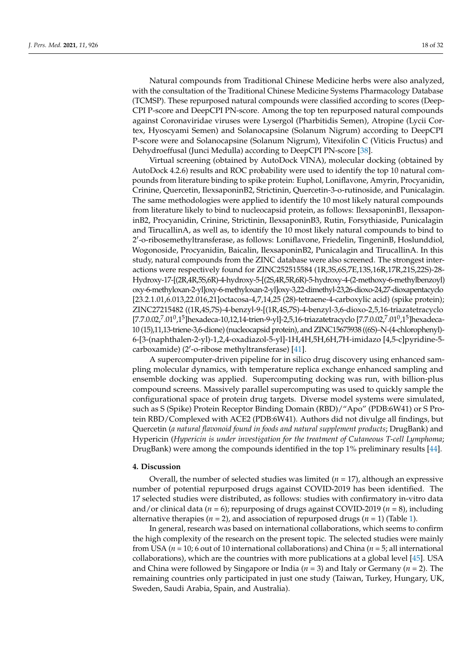Natural compounds from Traditional Chinese Medicine herbs were also analyzed, with the consultation of the Traditional Chinese Medicine Systems Pharmacology Database (TCMSP). These repurposed natural compounds were classified according to scores (Deep-CPI P-score and DeepCPI PN-score. Among the top ten repurposed natural compounds against Coronaviridae viruses were Lysergol (Pharbitidis Semen), Atropine (Lycii Cortex, Hyoscyami Semen) and Solanocapsine (Solanum Nigrum) according to DeepCPI P-score were and Solanocapsine (Solanum Nigrum), Vitexifolin C (Viticis Fructus) and Dehydroeffusal (Junci Medulla) according to DeepCPI PN-score [\[38\]](#page-30-27).

Virtual screening (obtained by AutoDock VINA), molecular docking (obtained by AutoDock 4.2.6) results and ROC probability were used to identify the top 10 natural compounds from literature binding to spike protein: Euphol, Loniflavone, Amyrin, Procyanidin, Crinine, Quercetin, IlexsaponinB2, Strictinin, Quercetin-3-o-rutinoside, and Punicalagin. The same methodologies were applied to identify the 10 most likely natural compounds from literature likely to bind to nucleocapsid protein, as follows: IlexsaponinB1, IlexsaponinB2, Procyanidin, Crinine, Strictinin, IlexsaponinB3, Rutin, Forsythiaside, Punicalagin and TirucallinA, as well as, to identify the 10 most likely natural compounds to bind to 2 0 -o-ribosemethyltransferase, as follows: Loniflavone, Friedelin, TingeninB, Hoslunddiol, Wogonoside, Procyanidin, Baicalin, IlexsaponinB2, Punicalagin and TirucallinA. In this study, natural compounds from the ZINC database were also screened. The strongest interactions were respectively found for ZINC252515584 (1R,3S,6S,7E,13S,16R,17R,21S,22S)-28- Hydroxy-17-[(2R,4R,5S,6R)-4-hydroxy-5-[(2S,4R,5R,6R)-5-hydroxy-4-(2-methoxy-6-methylbenzoyl) oxy-6-methyloxan-2-yl]oxy-6-methyloxan-2-yl]oxy-3,22-dimethyl-23,26-dioxo-24,27-dioxapentacyclo [23.2.1.01,6.013,22.016,21]octacosa-4,7,14,25 (28)-tetraene-4-carboxylic acid) (spike protein); ZINC27215482 ((1R,4S,7S)-4-benzyl-9-[(1R,4S,7S)-4-benzyl-3,6-dioxo-2,5,16-triazatetracyclo [7.7.0.02,<sup>7</sup>.01<sup>0</sup>,1<sup>5</sup>]hexadeca-10,12,14-trien-9-yl]-2,5,16-triazatetracyclo [7.7.0.02,<sup>7</sup>.01<sup>0</sup>,1<sup>5</sup>]hexadeca-10 (15),11,13-triene-3,6-dione) (nucleocapsid protein), and ZINC15675938 ((6S)–N-(4-chlorophenyl)- 6-[3-(naphthalen-2-yl)-1,2,4-oxadiazol-5-yl]-1H,4H,5H,6H,7H-imidazo [4,5-c]pyridine-5- carboxamide) (2'-o-ribose methyltransferase) [\[41\]](#page-30-30).

A supercomputer-driven pipeline for in silico drug discovery using enhanced sampling molecular dynamics, with temperature replica exchange enhanced sampling and ensemble docking was applied. Supercomputing docking was run, with billion-plus compound screens. Massively parallel supercomputing was used to quickly sample the configurational space of protein drug targets. Diverse model systems were simulated, such as S (Spike) Protein Receptor Binding Domain (RBD)/"Apo" (PDB:6W41) or S Protein RBD/Complexed with ACE2 (PDB:6W41). Authors did not divulge all findings, but Quercetin (*a natural flavonoid found in foods and natural supplement products*; DrugBank) and Hypericin (*Hypericin is under investigation for the treatment of Cutaneous T-cell Lymphoma*; DrugBank) were among the compounds identified in the top 1% preliminary results [\[44\]](#page-30-33).

# **4. Discussion**

Overall, the number of selected studies was limited  $(n = 17)$ , although an expressive number of potential repurposed drugs against COVID-2019 has been identified. The 17 selected studies were distributed, as follows: studies with confirmatory in-vitro data and/or clinical data (*n* = 6); repurposing of drugs against COVID-2019 (*n* = 8), including alternative therapies ( $n = 2$ ), and association of repurposed drugs ( $n = 1$ ) (Table [1\)](#page-10-0).

In general, research was based on international collaborations, which seems to confirm the high complexity of the research on the present topic. The selected studies were mainly from USA (*n* = 10; 6 out of 10 international collaborations) and China (*n* = 5; all international collaborations), which are the countries with more publications at a global level [\[45\]](#page-30-34). USA and China were followed by Singapore or India (*n* = 3) and Italy or Germany (*n* = 2). The remaining countries only participated in just one study (Taiwan, Turkey, Hungary, UK, Sweden, Saudi Arabia, Spain, and Australia).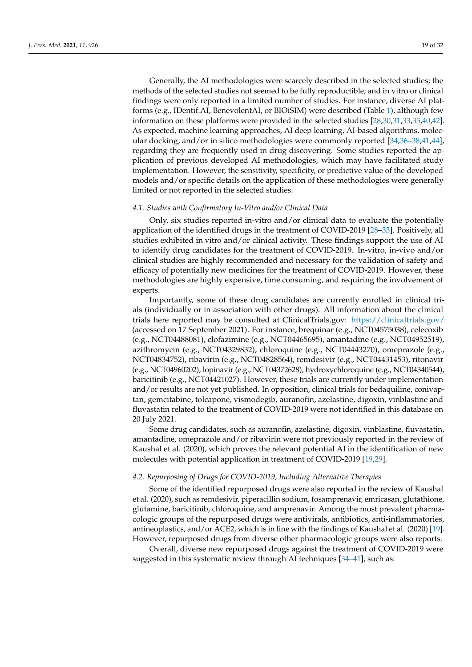Generally, the AI methodologies were scarcely described in the selected studies; the methods of the selected studies not seemed to be fully reproductible; and in vitro or clinical findings were only reported in a limited number of studies. For instance, diverse AI platforms (e.g., IDentif.AI, BenevolentAI, or BIOiSIM) were described (Table [1\)](#page-10-0), although few information on these platforms were provided in the selected studies [\[28,](#page-30-17)[30](#page-30-19)[,31](#page-30-20)[,33](#page-30-22)[,35](#page-30-24)[,40](#page-30-29)[,42\]](#page-30-31). As expected, machine learning approaches, AI deep learning, AI-based algorithms, molecular docking, and/or in silico methodologies were commonly reported [\[34,](#page-30-23)[36–](#page-30-25)[38,](#page-30-27)[41,](#page-30-30)[44\]](#page-30-33), regarding they are frequently used in drug discovering. Some studies reported the application of previous developed AI methodologies, which may have facilitated study implementation. However, the sensitivity, specificity, or predictive value of the developed models and/or specific details on the application of these methodologies were generally limited or not reported in the selected studies.

### <span id="page-18-0"></span>*4.1. Studies with Confirmatory In-Vitro and/or Clinical Data*

Only, six studies reported in-vitro and/or clinical data to evaluate the potentially application of the identified drugs in the treatment of COVID-2019 [\[28](#page-30-17)[–33\]](#page-30-22). Positively, all studies exhibited in vitro and/or clinical activity. These findings support the use of AI to identify drug candidates for the treatment of COVID-2019. In-vitro, in-vivo and/or clinical studies are highly recommended and necessary for the validation of safety and efficacy of potentially new medicines for the treatment of COVID-2019. However, these methodologies are highly expensive, time consuming, and requiring the involvement of experts.

Importantly, some of these drug candidates are currently enrolled in clinical trials (individually or in association with other drugs). All information about the clinical trials here reported may be consulted at ClinicalTrials.gov: <https://clinicaltrials.gov/> (accessed on 17 September 2021). For instance, brequinar (e.g., NCT04575038), celecoxib (e.g., NCT04488081), clofazimine (e.g., NCT04465695), amantadine (e.g., NCT04952519), azithromycin (e.g., NCT04329832), chloroquine (e.g., NCT04443270), omeprazole (e.g., NCT04834752), ribavirin (e.g., NCT04828564), remdesivir (e.g., NCT04431453), ritonavir (e.g., NCT04960202), lopinavir (e.g., NCT04372628), hydroxychloroquine (e.g., NCT04340544), baricitinib (e.g., NCT04421027). However, these trials are currently under implementation and/or results are not yet published. In opposition, clinical trials for bedaquiline, conivaptan, gemcitabine, tolcapone, vismodegib, auranofin, azelastine, digoxin, vinblastine and fluvastatin related to the treatment of COVID-2019 were not identified in this database on 20 July 2021.

Some drug candidates, such as auranofin, azelastine, digoxin, vinblastine, fluvastatin, amantadine, omeprazole and/or ribavirin were not previously reported in the review of Kaushal et al. (2020), which proves the relevant potential AI in the identification of new molecules with potential application in treatment of COVID-2019 [\[19,](#page-29-16)[29\]](#page-30-18).

### <span id="page-18-1"></span>*4.2. Repurposing of Drugs for COVID-2019, Including Alternative Therapies*

Some of the identified repurposed drugs were also reported in the review of Kaushal et al. (2020), such as remdesivir, piperacillin sodium, fosamprenavir, emricasan, glutathione, glutamine, baricitinib, chloroquine, and amprenavir. Among the most prevalent pharmacologic groups of the repurposed drugs were antivirals, antibiotics, anti-inflammatories, antineoplastics, and/or ACE2, which is in line with the findings of Kaushal et al. (2020) [\[19\]](#page-29-16). However, repurposed drugs from diverse other pharmacologic groups were also reports.

Overall, diverse new repurposed drugs against the treatment of COVID-2019 were suggested in this systematic review through AI techniques [\[34](#page-30-23)[–41\]](#page-30-30), such as: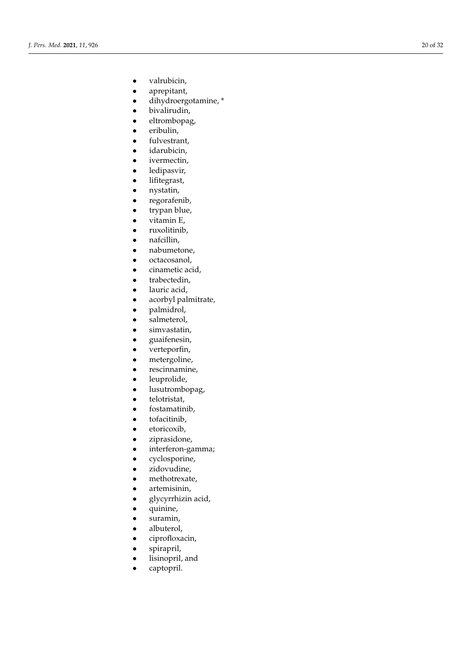- valrubicin,
- aprepitant,
- dihydroergotamine, \*
- bivalirudin,
- eltrombopag,
- eribulin,
- fulvestrant,
- idarubicin,
- ivermectin,
- ledipasvir,
- lifitegrast,
- nystatin,
- regorafenib,
- trypan blue,
- vitamin E,
- ruxolitinib,
- nafcillin,
- nabumetone,
- octacosanol,
- cinametic acid,
- trabectedin,
- lauric acid,
- acorbyl palmitrate,
- palmidrol,
- salmeterol,
- simvastatin,
- guaifenesin,
- verteporfin,
- metergoline,
- rescinnamine,
- leuprolide,
- lusutrombopag,
- telotristat,
- fostamatinib,
- tofacitinib,
- etoricoxib,
- ziprasidone,
- interferon-gamma;
- cyclosporine,
- zidovudine,
- methotrexate,
- artemisinin,
- glycyrrhizin acid,
- quinine,
- suramin,
- albuterol,
- ciprofloxacin,
- spirapril,
- lisinopril, and
- captopril.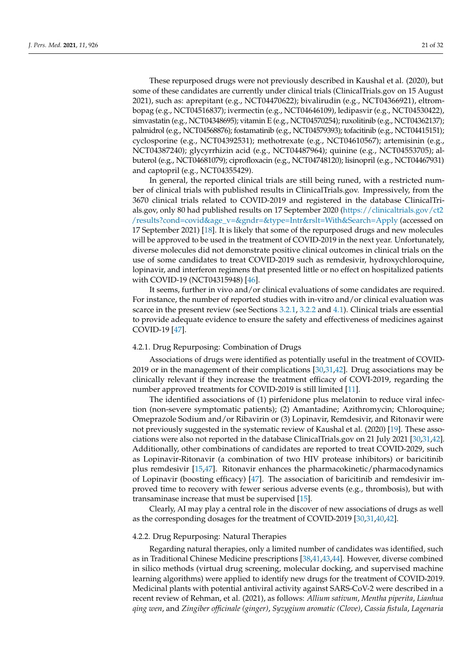These repurposed drugs were not previously described in Kaushal et al. (2020), but some of these candidates are currently under clinical trials (ClinicalTrials.gov on 15 August 2021), such as: aprepitant (e.g., NCT04470622); bivalirudin (e.g., NCT04366921), eltrombopag (e.g., NCT04516837); ivermectin (e.g., NCT04646109), ledipasvir (e.g., NCT04530422), simvastatin (e.g., NCT04348695); vitamin E (e.g., NCT04570254); ruxolitinib (e.g., NCT04362137); palmidrol (e.g., NCT04568876); fostamatinib (e.g., NCT04579393); tofacitinib (e.g., NCT04415151); cyclosporine (e.g., NCT04392531); methotrexate (e.g., NCT04610567); artemisinin (e.g., NCT04387240); glycyrrhizin acid (e.g., NCT04487964); quinine (e.g., NCT04553705); albuterol (e.g., NCT04681079); ciprofloxacin (e.g., NCT04748120); lisinopril (e.g., NCT04467931) and captopril (e.g., NCT04355429).

In general, the reported clinical trials are still being runed, with a restricted number of clinical trials with published results in ClinicalTrials.gov. Impressively, from the 3670 clinical trials related to COVID-2019 and registered in the database ClinicalTrials.gov, only 80 had published results on 17 September 2020 [\(https://clinicaltrials.gov/ct2](https://clinicaltrials.gov/ct2/results?cond=covid&age_v=&gndr=&type=Intr&rslt=With&Search=Apply) [/results?cond=covid&age\\_v=&gndr=&type=Intr&rslt=With&Search=Apply](https://clinicaltrials.gov/ct2/results?cond=covid&age_v=&gndr=&type=Intr&rslt=With&Search=Apply) (accessed on 17 September 2021) [\[18\]](#page-29-15). It is likely that some of the repurposed drugs and new molecules will be approved to be used in the treatment of COVID-2019 in the next year. Unfortunately, diverse molecules did not demonstrate positive clinical outcomes in clinical trials on the use of some candidates to treat COVID-2019 such as remdesivir, hydroxychloroquine, lopinavir, and interferon regimens that presented little or no effect on hospitalized patients with COVID-19 (NCT04315948) [\[46\]](#page-30-35).

It seems, further in vivo and/or clinical evaluations of some candidates are required. For instance, the number of reported studies with in-vitro and/or clinical evaluation was scarce in the present review (see Sections [3.2.1,](#page-11-0) [3.2.2](#page-12-2) and [4.1\)](#page-18-0). Clinical trials are essential to provide adequate evidence to ensure the safety and effectiveness of medicines against COVID-19 [\[47\]](#page-30-36).

### 4.2.1. Drug Repurposing: Combination of Drugs

Associations of drugs were identified as potentially useful in the treatment of COVID-2019 or in the management of their complications [\[30](#page-30-19)[,31](#page-30-20)[,42\]](#page-30-31). Drug associations may be clinically relevant if they increase the treatment efficacy of COVI-2019, regarding the number approved treatments for COVID-2019 is still limited [\[11\]](#page-29-10).

The identified associations of (1) pirfenidone plus melatonin to reduce viral infection (non-severe symptomatic patients); (2) Amantadine; Azithromycin; Chloroquine; Omeprazole Sodium and/or Ribavirin or (3) Lopinavir, Remdesivir, and Ritonavir were not previously suggested in the systematic review of Kaushal et al. (2020) [\[19\]](#page-29-16). These associations were also not reported in the database ClinicalTrials.gov on 21 July 2021 [\[30](#page-30-19)[,31](#page-30-20)[,42\]](#page-30-31). Additionally, other combinations of candidates are reported to treat COVID-2029, such as Lopinavir-Ritonavir (a combination of two HIV protease inhibitors) or baricitinib plus remdesivir [\[15,](#page-29-12)[47\]](#page-30-36). Ritonavir enhances the pharmacokinetic/pharmacodynamics of Lopinavir (boosting efficacy) [\[47\]](#page-30-36). The association of baricitinib and remdesivir improved time to recovery with fewer serious adverse events (e.g., thrombosis), but with transaminase increase that must be supervised [\[15\]](#page-29-12).

Clearly, AI may play a central role in the discover of new associations of drugs as well as the corresponding dosages for the treatment of COVID-2019 [\[30,](#page-30-19)[31,](#page-30-20)[40,](#page-30-29)[42\]](#page-30-31).

# 4.2.2. Drug Repurposing: Natural Therapies

Regarding natural therapies, only a limited number of candidates was identified, such as in Traditional Chinese Medicine prescriptions [\[38,](#page-30-27)[41,](#page-30-30)[43,](#page-30-32)[44\]](#page-30-33). However, diverse combined in silico methods (virtual drug screening, molecular docking, and supervised machine learning algorithms) were applied to identify new drugs for the treatment of COVID-2019. Medicinal plants with potential antiviral activity against SARS-CoV-2 were described in a recent review of Rehman, et al. (2021), as follows: *Allium sativum*, *Mentha piperita*, *Lianhua qing wen*, and *Zingiber officinale (ginger)*, *Syzygium aromatic (Clove)*, *Cassia fistula*, *Lagenaria*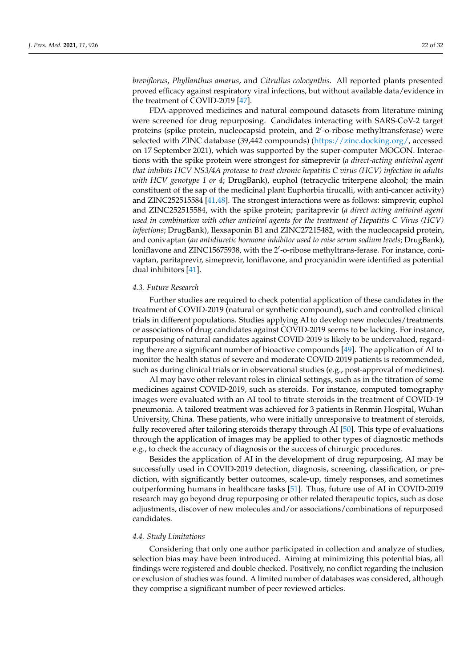*breviflorus*, *Phyllanthus amarus*, and *Citrullus colocynthis*. All reported plants presented proved efficacy against respiratory viral infections, but without available data/evidence in the treatment of COVID-2019 [\[47\]](#page-30-36).

FDA-approved medicines and natural compound datasets from literature mining were screened for drug repurposing. Candidates interacting with SARS-CoV-2 target proteins (spike protein, nucleocapsid protein, and 2'-o-ribose methyltransferase) were selected with ZINC database (39,442 compounds) [\(https://zinc.docking.org/,](https://zinc.docking.org/) accessed on 17 September 2021), which was supported by the super-computer MOGON. Interactions with the spike protein were strongest for simeprevir (*a direct-acting antiviral agent that inhibits HCV NS3/4A protease to treat chronic hepatitis C virus (HCV) infection in adults with HCV genotype 1 or 4*; DrugBank), euphol (tetracyclic triterpene alcohol; the main constituent of the sap of the medicinal plant Euphorbia tirucalli, with anti-cancer activity) and ZINC252515584 [\[41](#page-30-30)[,48\]](#page-30-37). The strongest interactions were as follows: simprevir, euphol and ZINC252515584, with the spike protein; paritaprevir (*a direct acting antiviral agent used in combination with other antiviral agents for the treatment of Hepatitis C Virus (HCV) infections*; DrugBank), Ilexsaponin B1 and ZINC27215482, with the nucleocapsid protein, and conivaptan (*an antidiuretic hormone inhibitor used to raise serum sodium levels*; DrugBank), loniflavone and ZINC15675938, with the 2'-o-ribose methyltrans-ferase. For instance, conivaptan, paritaprevir, simeprevir, loniflavone, and procyanidin were identified as potential dual inhibitors [\[41\]](#page-30-30).

### *4.3. Future Research*

Further studies are required to check potential application of these candidates in the treatment of COVID-2019 (natural or synthetic compound), such and controlled clinical trials in different populations. Studies applying AI to develop new molecules/treatments or associations of drug candidates against COVID-2019 seems to be lacking. For instance, repurposing of natural candidates against COVID-2019 is likely to be undervalued, regarding there are a significant number of bioactive compounds [\[49\]](#page-30-38). The application of AI to monitor the health status of severe and moderate COVID-2019 patients is recommended, such as during clinical trials or in observational studies (e.g., post-approval of medicines).

AI may have other relevant roles in clinical settings, such as in the titration of some medicines against COVID-2019, such as steroids. For instance, computed tomography images were evaluated with an AI tool to titrate steroids in the treatment of COVID-19 pneumonia. A tailored treatment was achieved for 3 patients in Renmin Hospital, Wuhan University, China. These patients, who were initially unresponsive to treatment of steroids, fully recovered after tailoring steroids therapy through AI [\[50\]](#page-31-0). This type of evaluations through the application of images may be applied to other types of diagnostic methods e.g., to check the accuracy of diagnosis or the success of chirurgic procedures.

Besides the application of AI in the development of drug repurposing, AI may be successfully used in COVID-2019 detection, diagnosis, screening, classification, or prediction, with significantly better outcomes, scale-up, timely responses, and sometimes outperforming humans in healthcare tasks [\[51\]](#page-31-1). Thus, future use of AI in COVID-2019 research may go beyond drug repurposing or other related therapeutic topics, such as dose adjustments, discover of new molecules and/or associations/combinations of repurposed candidates.

### *4.4. Study Limitations*

Considering that only one author participated in collection and analyze of studies, selection bias may have been introduced. Aiming at minimizing this potential bias, all findings were registered and double checked. Positively, no conflict regarding the inclusion or exclusion of studies was found. A limited number of databases was considered, although they comprise a significant number of peer reviewed articles.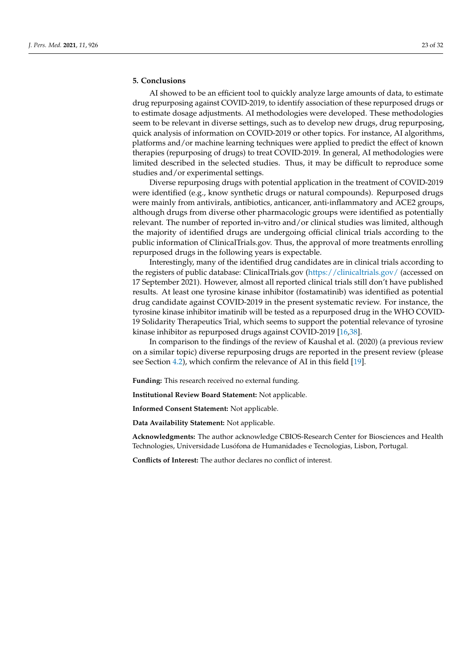# **5. Conclusions**

AI showed to be an efficient tool to quickly analyze large amounts of data, to estimate drug repurposing against COVID-2019, to identify association of these repurposed drugs or to estimate dosage adjustments. AI methodologies were developed. These methodologies seem to be relevant in diverse settings, such as to develop new drugs, drug repurposing, quick analysis of information on COVID-2019 or other topics. For instance, AI algorithms, platforms and/or machine learning techniques were applied to predict the effect of known therapies (repurposing of drugs) to treat COVID-2019. In general, AI methodologies were limited described in the selected studies. Thus, it may be difficult to reproduce some studies and/or experimental settings.

Diverse repurposing drugs with potential application in the treatment of COVID-2019 were identified (e.g., know synthetic drugs or natural compounds). Repurposed drugs were mainly from antivirals, antibiotics, anticancer, anti-inflammatory and ACE2 groups, although drugs from diverse other pharmacologic groups were identified as potentially relevant. The number of reported in-vitro and/or clinical studies was limited, although the majority of identified drugs are undergoing official clinical trials according to the public information of ClinicalTrials.gov. Thus, the approval of more treatments enrolling repurposed drugs in the following years is expectable.

Interestingly, many of the identified drug candidates are in clinical trials according to the registers of public database: ClinicalTrials.gov [\(https://clinicaltrials.gov/](https://clinicaltrials.gov/) (accessed on 17 September 2021). However, almost all reported clinical trials still don't have published results. At least one tyrosine kinase inhibitor (fostamatinib) was identified as potential drug candidate against COVID-2019 in the present systematic review. For instance, the tyrosine kinase inhibitor imatinib will be tested as a repurposed drug in the WHO COVID-19 Solidarity Therapeutics Trial, which seems to support the potential relevance of tyrosine kinase inhibitor as repurposed drugs against COVID-2019 [\[16,](#page-29-13)[38\]](#page-30-27).

In comparison to the findings of the review of Kaushal et al. (2020) (a previous review on a similar topic) diverse repurposing drugs are reported in the present review (please see Section [4.2\)](#page-18-1), which confirm the relevance of AI in this field [\[19\]](#page-29-16).

**Funding:** This research received no external funding.

**Institutional Review Board Statement:** Not applicable.

**Informed Consent Statement:** Not applicable.

**Data Availability Statement:** Not applicable.

**Acknowledgments:** The author acknowledge CBIOS-Research Center for Biosciences and Health Technologies, Universidade Lusófona de Humanidades e Tecnologias, Lisbon, Portugal.

**Conflicts of Interest:** The author declares no conflict of interest.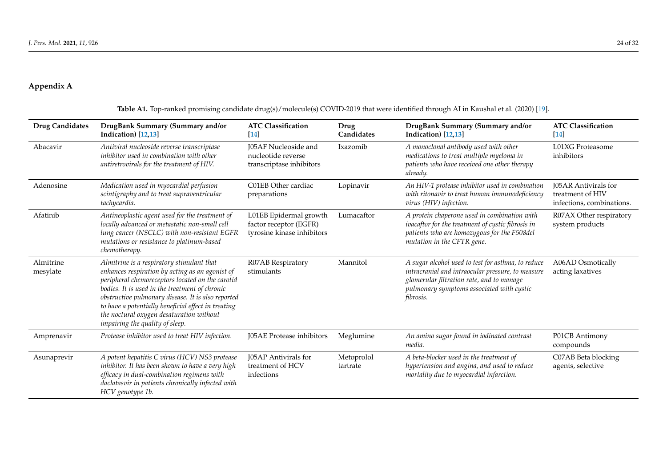# **Appendix A**

<span id="page-23-0"></span>

| <b>Drug Candidates</b> | DrugBank Summary (Summary and/or<br>Indication) [12,13]                                                                                                                                                                                                                                                                                                                                        | <b>ATC Classification</b><br>$[14]$                                            | Drug<br>Candidates     | DrugBank Summary (Summary and/or<br>Indication) [12,13]                                                                                                                                                               | <b>ATC Classification</b><br>$[14]$                                   |
|------------------------|------------------------------------------------------------------------------------------------------------------------------------------------------------------------------------------------------------------------------------------------------------------------------------------------------------------------------------------------------------------------------------------------|--------------------------------------------------------------------------------|------------------------|-----------------------------------------------------------------------------------------------------------------------------------------------------------------------------------------------------------------------|-----------------------------------------------------------------------|
| Abacavir               | Antiviral nucleoside reverse transcriptase<br>inhibitor used in combination with other<br>antiretrovirals for the treatment of HIV.                                                                                                                                                                                                                                                            | J05AF Nucleoside and<br>nucleotide reverse<br>transcriptase inhibitors         | Ixazomib               | A monoclonal antibody used with other<br>medications to treat multiple myeloma in<br>patients who have received one other therapy<br>already.                                                                         | L01XG Proteasome<br>inhibitors                                        |
| Adenosine              | Medication used in myocardial perfusion<br>scintigraphy and to treat supraventricular<br>tachycardia.                                                                                                                                                                                                                                                                                          | C01EB Other cardiac<br>preparations                                            | Lopinavir              | An HIV-1 protease inhibitor used in combination<br>with ritonavir to treat human immunodeficiency<br>virus (HIV) infection.                                                                                           | J05AR Antivirals for<br>treatment of HIV<br>infections, combinations. |
| Afatinib               | Antineoplastic agent used for the treatment of<br>locally advanced or metastatic non-small cell<br>lung cancer (NSCLC) with non-resistant EGFR<br>mutations or resistance to platinum-based<br>chemotherapy.                                                                                                                                                                                   | L01EB Epidermal growth<br>factor receptor (EGFR)<br>tyrosine kinase inhibitors | Lumacaftor             | A protein chaperone used in combination with<br>ivacaftor for the treatment of cystic fibrosis in<br>patients who are homozygous for the F508del<br>mutation in the CFTR gene.                                        | R07AX Other respiratory<br>system products                            |
| Almitrine<br>mesylate  | Almitrine is a respiratory stimulant that<br>enhances respiration by acting as an agonist of<br>peripheral chemoreceptors located on the carotid<br>bodies. It is used in the treatment of chronic<br>obstructive pulmonary disease. It is also reported<br>to have a potentially beneficial effect in treating<br>the noctural oxygen desaturation without<br>impairing the quality of sleep. | R07AB Respiratory<br>stimulants                                                | Mannitol               | A sugar alcohol used to test for asthma, to reduce<br>intracranial and intraocular pressure, to measure<br>glomerular filtration rate, and to manage<br>pulmonary symptoms associated with cystic<br><i>fibrosis.</i> | <b>A06AD</b> Osmotically<br>acting laxatives                          |
| Amprenavir             | Protease inhibitor used to treat HIV infection.                                                                                                                                                                                                                                                                                                                                                | J05AE Protease inhibitors                                                      | Meglumine              | An amino sugar found in iodinated contrast<br>media.                                                                                                                                                                  | P01CB Antimony<br>compounds                                           |
| Asunaprevir            | A potent hepatitis C virus (HCV) NS3 protease<br>inhibitor. It has been shown to have a very high<br>efficacy in dual-combination regimens with<br>daclatasvir in patients chronically infected with<br>HCV genotype 1b.                                                                                                                                                                       | J05AP Antivirals for<br>treatment of HCV<br>infections                         | Metoprolol<br>tartrate | A beta-blocker used in the treatment of<br>hypertension and angina, and used to reduce<br>mortality due to myocardial infarction.                                                                                     | C07AB Beta blocking<br>agents, selective                              |

**Table A1.** Top-ranked promising candidate drug(s)/molecule(s) COVID-2019 that were identified through AI in Kaushal et al. (2020) [\[19\]](#page-29-25).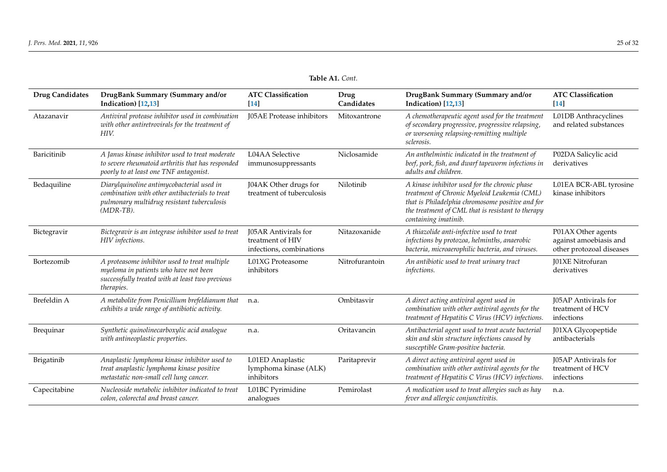| <b>Drug Candidates</b> | DrugBank Summary (Summary and/or<br>Indication) [12,13]                                                                                                   | <b>ATC Classification</b><br>$\sqrt{14}$                             | Drug<br>Candidates | DrugBank Summary (Summary and/or<br>Indication) [12,13]                                                                                                                                                                       | <b>ATC Classification</b><br>$[14]$                                      |
|------------------------|-----------------------------------------------------------------------------------------------------------------------------------------------------------|----------------------------------------------------------------------|--------------------|-------------------------------------------------------------------------------------------------------------------------------------------------------------------------------------------------------------------------------|--------------------------------------------------------------------------|
| Atazanavir             | Antiviral protease inhibitor used in combination<br>with other antiretrovirals for the treatment of<br>HIV.                                               | J05AE Protease inhibitors                                            | Mitoxantrone       | A chemotherapeutic agent used for the treatment<br>of secondary progressive, progressive relapsing,<br>or worsening relapsing-remitting multiple<br>sclerosis.                                                                | L01DB Anthracyclines<br>and related substances                           |
| Baricitinib            | A Janus kinase inhibitor used to treat moderate<br>to severe rheumatoid arthritis that has responded<br>poorly to at least one TNF antagonist.            | L04AA Selective<br>immunosuppressants                                | Niclosamide        | An anthelmintic indicated in the treatment of<br>beef, pork, fish, and dwarf tapeworm infections in<br>adults and children.                                                                                                   | P02DA Salicylic acid<br>derivatives                                      |
| Bedaquiline            | Diarylquinoline antimycobacterial used in<br>combination with other antibacterials to treat<br>pulmonary multidrug resistant tuberculosis<br>$(MDR-TB)$ . | J04AK Other drugs for<br>treatment of tuberculosis                   | Nilotinib          | A kinase inhibitor used for the chronic phase<br>treatment of Chronic Myeloid Leukemia (CML)<br>that is Philadelphia chromosome positive and for<br>the treatment of CML that is resistant to therapy<br>containing imatinib. | L01EA BCR-ABL tyrosine<br>kinase inhibitors                              |
| Bictegravir            | Bictegravir is an integrase inhibitor used to treat<br>HIV infections.                                                                                    | J05AR Antivirals for<br>treatment of HIV<br>infections, combinations | Nitazoxanide       | A thiazolide anti-infective used to treat<br>infections by protozoa, helminths, anaerobic<br>bacteria, microaerophilic bacteria, and viruses.                                                                                 | P01AX Other agents<br>against amoebiasis and<br>other protozoal diseases |
| Bortezomib             | A proteasome inhibitor used to treat multiple<br>myeloma in patients who have not been<br>successfully treated with at least two previous<br>therapies.   | L01XG Proteasome<br>inhibitors                                       | Nitrofurantoin     | An antibiotic used to treat urinary tract<br><i>infections.</i>                                                                                                                                                               | J01XE Nitrofuran<br>derivatives                                          |
| Brefeldin A            | A metabolite from Penicillium brefeldianum that<br>exhibits a wide range of antibiotic activity.                                                          | n.a.                                                                 | Ombitasvir         | A direct acting antiviral agent used in<br>combination with other antiviral agents for the<br>treatment of Hepatitis C Virus (HCV) infections.                                                                                | J05AP Antivirals for<br>treatment of HCV<br>infections                   |
| Brequinar              | Synthetic quinolinecarboxylic acid analogue<br>with antineoplastic properties.                                                                            | n.a.                                                                 | Oritavancin        | Antibacterial agent used to treat acute bacterial<br>skin and skin structure infections caused by<br>susceptible Gram-positive bacteria.                                                                                      | J01XA Glycopeptide<br>antibacterials                                     |
| Brigatinib             | Anaplastic lymphoma kinase inhibitor used to<br>treat anaplastic lymphoma kinase positive<br>metastatic non-small cell lung cancer.                       | L01ED Anaplastic<br>lymphoma kinase (ALK)<br>inhibitors              | Paritaprevir       | A direct acting antiviral agent used in<br>combination with other antiviral agents for the<br>treatment of Hepatitis C Virus (HCV) infections.                                                                                | J05AP Antivirals for<br>treatment of HCV<br>infections                   |
| Capecitabine           | Nucleoside metabolic inhibitor indicated to treat<br>colon, colorectal and breast cancer.                                                                 | L01BC Pyrimidine<br>analogues                                        | Pemirolast         | A medication used to treat allergies such as hay<br>fever and allergic conjunctivitis.                                                                                                                                        | n.a.                                                                     |

**Table A1.** *Cont.*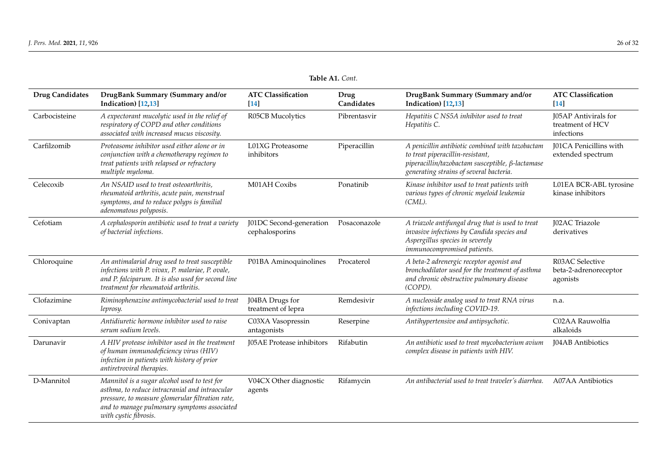| <b>Drug Candidates</b> | DrugBank Summary (Summary and/or<br>Indication) [12,13]                                                                                                                                                                    | <b>ATC Classification</b><br>$[14]$       | Drug<br>Candidates | DrugBank Summary (Summary and/or<br>Indication) [12,13]                                                                                                                                   | <b>ATC Classification</b><br>$[14]$                    |
|------------------------|----------------------------------------------------------------------------------------------------------------------------------------------------------------------------------------------------------------------------|-------------------------------------------|--------------------|-------------------------------------------------------------------------------------------------------------------------------------------------------------------------------------------|--------------------------------------------------------|
| Carbocisteine          | A expectorant mucolytic used in the relief of<br>respiratory of COPD and other conditions<br>associated with increased mucus viscosity.                                                                                    | R05CB Mucolytics                          | Pibrentasvir       | Hepatitis C NS5A inhibitor used to treat<br>Hepatitis C.                                                                                                                                  | J05AP Antivirals for<br>treatment of HCV<br>infections |
| Carfilzomib            | Proteasome inhibitor used either alone or in<br>conjunction with a chemotherapy regimen to<br>treat patients with relapsed or refractory<br>multiple myeloma.                                                              | L01XG Proteasome<br>inhibitors            | Piperacillin       | A penicillin antibiotic combined with tazobactam<br>to treat piperacillin-resistant,<br>$piperacillin/tazobactam susceptible, \beta-lactamase$<br>generating strains of several bacteria. | <b>J01CA</b> Penicillins with<br>extended spectrum     |
| Celecoxib              | An NSAID used to treat osteoarthritis,<br>rheumatoid arthritis, acute pain, menstrual<br>symptoms, and to reduce polyps is familial<br>adenomatous polyposis.                                                              | M01AH Coxibs                              | Ponatinib          | Kinase inhibitor used to treat patients with<br>various types of chronic myeloid leukemia<br>(CML).                                                                                       | L01EA BCR-ABL tyrosine<br>kinase inhibitors            |
| Cefotiam               | A cephalosporin antibiotic used to treat a variety<br>of bacterial infections.                                                                                                                                             | J01DC Second-generation<br>cephalosporins | Posaconazole       | A triazole antifungal drug that is used to treat<br>invasive infections by Candida species and<br>Aspergillus species in severely<br>immunocompromised patients.                          | <b>J02AC</b> Triazole<br>derivatives                   |
| Chloroquine            | An antimalarial drug used to treat susceptible<br>infections with P. vivax, P. malariae, P. ovale,<br>and P. falciparum. It is also used for second line<br>treatment for rheumatoid arthritis.                            | P01BA Aminoquinolines                     | Procaterol         | A beta-2 adrenergic receptor agonist and<br>bronchodilator used for the treatment of asthma<br>and chronic obstructive pulmonary disease<br>(COPD).                                       | R03AC Selective<br>beta-2-adrenoreceptor<br>agonists   |
| Clofazimine            | Riminophenazine antimycobacterial used to treat<br>leprosy.                                                                                                                                                                | J04BA Drugs for<br>treatment of lepra     | Remdesivir         | A nucleoside analog used to treat RNA virus<br>infections including COVID-19.                                                                                                             | n.a.                                                   |
| Conivaptan             | Antidiuretic hormone inhibitor used to raise<br>serum sodium levels.                                                                                                                                                       | C03XA Vasopressin<br>antagonists          | Reserpine          | Antihypertensive and antipsychotic.                                                                                                                                                       | C02AA Rauwolfia<br>alkaloids                           |
| Darunavir              | A HIV protease inhibitor used in the treatment<br>of human immunodeficiency virus (HIV)<br>infection in patients with history of prior<br>antiretroviral therapies.                                                        | <b>J05AE</b> Protease inhibitors          | Rifabutin          | An antibiotic used to treat mycobacterium avium<br>complex disease in patients with HIV.                                                                                                  | <b>J04AB</b> Antibiotics                               |
| D-Mannitol             | Mannitol is a sugar alcohol used to test for<br>asthma, to reduce intracranial and intraocular<br>pressure, to measure glomerular filtration rate,<br>and to manage pulmonary symptoms associated<br>with cystic fibrosis. | V04CX Other diagnostic<br>agents          | Rifamycin          | An antibacterial used to treat traveler's diarrhea.                                                                                                                                       | <b>A07AA</b> Antibiotics                               |

**Table A1.** *Cont.*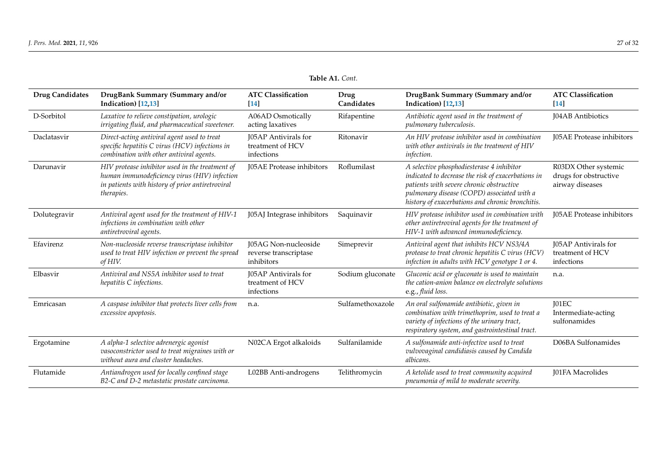| <b>Drug Candidates</b> | DrugBank Summary (Summary and/or<br>Indication) [12,13]                                                                                                           | <b>ATC Classification</b><br>$\sqrt{14}$                      | Drug<br>Candidates | DrugBank Summary (Summary and/or<br>Indication) [12,13]                                                                                                                                                                                       | <b>ATC Classification</b><br>$\sqrt{14}$                         |
|------------------------|-------------------------------------------------------------------------------------------------------------------------------------------------------------------|---------------------------------------------------------------|--------------------|-----------------------------------------------------------------------------------------------------------------------------------------------------------------------------------------------------------------------------------------------|------------------------------------------------------------------|
| D-Sorbitol             | Laxative to relieve constipation, urologic<br>irrigating fluid, and pharmaceutical sweetener.                                                                     | <b>A06AD</b> Osmotically<br>acting laxatives                  | Rifapentine        | Antibiotic agent used in the treatment of<br>pulmonary tuberculosis.                                                                                                                                                                          | J04AB Antibiotics                                                |
| Daclatasvir            | Direct-acting antiviral agent used to treat<br>specific hepatitis C virus (HCV) infections in<br>combination with other antiviral agents.                         | <b>I05AP</b> Antivirals for<br>treatment of HCV<br>infections | Ritonavir          | An HIV protease inhibitor used in combination<br>with other antivirals in the treatment of HIV<br><i>infection.</i>                                                                                                                           | <b>J05AE</b> Protease inhibitors                                 |
| Darunavir              | HIV protease inhibitor used in the treatment of<br>human immunodeficiency virus (HIV) infection<br>in patients with history of prior antiretroviral<br>therapies. | J05AE Protease inhibitors                                     | Roflumilast        | A selective phosphodiesterase 4 inhibitor<br>indicated to decrease the risk of exacerbations in<br>patients with severe chronic obstructive<br>pulmonary disease (COPD) associated with a<br>history of exacerbations and chronic bronchitis. | R03DX Other systemic<br>drugs for obstructive<br>airway diseases |
| Dolutegravir           | Antiviral agent used for the treatment of HIV-1<br>infections in combination with other<br>antiretroviral agents.                                                 | J05AJ Integrase inhibitors                                    | Saquinavir         | HIV protease inhibitor used in combination with<br>other antiretroviral agents for the treatment of<br>HIV-1 with advanced immunodeficiency.                                                                                                  | J05AE Protease inhibitors                                        |
| Efavirenz              | Non-nucleoside reverse transcriptase inhibitor<br>used to treat HIV infection or prevent the spread<br>of HIV.                                                    | J05AG Non-nucleoside<br>reverse transcriptase<br>inhibitors   | Simeprevir         | Antiviral agent that inhibits HCV NS3/4A<br>protease to treat chronic hepatitis C virus (HCV)<br>infection in adults with HCV genotype 1 or 4.                                                                                                | J05AP Antivirals for<br>treatment of HCV<br>infections           |
| Elbasvir               | Antiviral and NS5A inhibitor used to treat<br>hepatitis C infections.                                                                                             | J05AP Antivirals for<br>treatment of HCV<br>infections        | Sodium gluconate   | Gluconic acid or gluconate is used to maintain<br>the cation-anion balance on electrolyte solutions<br>e.g., fluid loss.                                                                                                                      | n.a.                                                             |
| Emricasan              | A caspase inhibitor that protects liver cells from<br>excessive apoptosis.                                                                                        | n.a.                                                          | Sulfamethoxazole   | An oral sulfonamide antibiotic, given in<br>combination with trimethoprim, used to treat a<br>variety of infections of the urinary tract,<br>respiratory system, and gastrointestinal tract.                                                  | J01EC<br>Intermediate-acting<br>sulfonamides                     |
| Ergotamine             | A alpha-1 selective adrenergic agonist<br>vasoconstrictor used to treat migraines with or<br>without aura and cluster headaches.                                  | N02CA Ergot alkaloids                                         | Sulfanilamide      | A sulfonamide anti-infective used to treat<br>vulvovaginal candidiasis caused by Candida<br>albicans.                                                                                                                                         | D06BA Sulfonamides                                               |
| Flutamide              | Antiandrogen used for locally confined stage<br>B2-C and D-2 metastatic prostate carcinoma.                                                                       | L02BB Anti-androgens                                          | Telithromycin      | A ketolide used to treat community acquired<br>pneumonia of mild to moderate severity.                                                                                                                                                        | <b>I01FA Macrolides</b>                                          |

**Table A1.** *Cont.*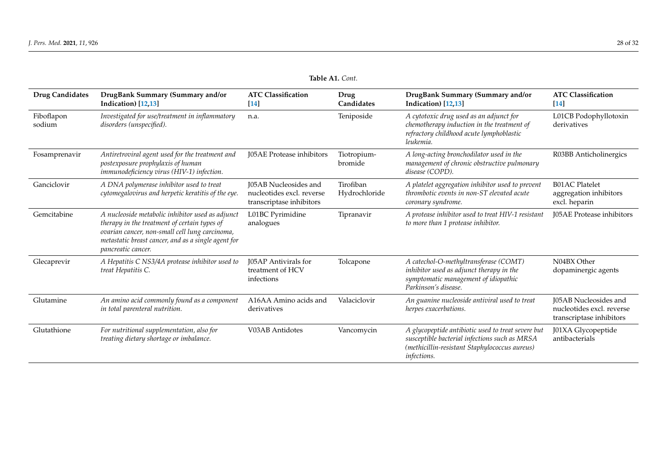| <b>Drug Candidates</b> | DrugBank Summary (Summary and/or<br>Indication) [12,13]                                                                                                                                                                         | <b>ATC Classification</b><br>$[14]$                                                   | Drug<br>Candidates         | DrugBank Summary (Summary and/or<br>Indication) [12,13]                                                                                                                    | <b>ATC Classification</b><br>$[14]$                                            |
|------------------------|---------------------------------------------------------------------------------------------------------------------------------------------------------------------------------------------------------------------------------|---------------------------------------------------------------------------------------|----------------------------|----------------------------------------------------------------------------------------------------------------------------------------------------------------------------|--------------------------------------------------------------------------------|
| Fiboflapon<br>sodium   | Investigated for use/treatment in inflammatory<br>disorders (unspecified).                                                                                                                                                      | n.a.                                                                                  | Teniposide                 | A cytotoxic drug used as an adjunct for<br>chemotherapy induction in the treatment of<br>refractory childhood acute lymphoblastic<br>leukemia.                             | L01CB Podophyllotoxin<br>derivatives                                           |
| Fosamprenavir          | Antiretroviral agent used for the treatment and<br>postexposure prophylaxis of human<br>immunodeficiency virus (HIV-1) infection.                                                                                               | J05AE Protease inhibitors                                                             | Tiotropium-<br>bromide     | A long-acting bronchodilator used in the<br>management of chronic obstructive pulmonary<br>disease (COPD).                                                                 | R03BB Anticholinergics                                                         |
| Ganciclovir            | A DNA polymerase inhibitor used to treat<br>cytomegalovirus and herpetic keratitis of the eye.                                                                                                                                  | <b>I05AB</b> Nucleosides and<br>nucleotides excl. reverse<br>transcriptase inhibitors | Tirofiban<br>Hydrochloride | A platelet aggregation inhibitor used to prevent<br>thrombotic events in non-ST elevated acute<br>coronary syndrome.                                                       | <b>B01AC Platelet</b><br>aggregation inhibitors<br>excl. heparin               |
| Gemcitabine            | A nucleoside metabolic inhibitor used as adjunct<br>therapy in the treatment of certain types of<br>ovarian cancer, non-small cell lung carcinoma,<br>metastatic breast cancer, and as a single agent for<br>pancreatic cancer. | L01BC Pyrimidine<br>analogues                                                         | Tipranavir                 | A protease inhibitor used to treat HIV-1 resistant<br>to more than 1 protease inhibitor.                                                                                   | J05AE Protease inhibitors                                                      |
| Glecaprevir            | A Hepatitis C NS3/4A protease inhibitor used to<br>treat Hepatitis C.                                                                                                                                                           | J05AP Antivirals for<br>treatment of HCV<br>infections                                | Tolcapone                  | A catechol-O-methyltransferase (COMT)<br>inhibitor used as adjunct therapy in the<br>symptomatic management of idiopathic<br>Parkinson's disease.                          | N04BX Other<br>dopaminergic agents                                             |
| Glutamine              | An amino acid commonly found as a component<br>in total parenteral nutrition.                                                                                                                                                   | A16AA Amino acids and<br>derivatives                                                  | Valaciclovir               | An guanine nucleoside antiviral used to treat<br>herpes exacerbations.                                                                                                     | J05AB Nucleosides and<br>nucleotides excl. reverse<br>transcriptase inhibitors |
| Glutathione            | For nutritional supplementation, also for<br>treating dietary shortage or imbalance.                                                                                                                                            | V03AB Antidotes                                                                       | Vancomycin                 | A glycopeptide antibiotic used to treat severe but<br>susceptible bacterial infections such as MRSA<br>(methicillin-resistant Staphylococcus aureus)<br><i>infections.</i> | J01XA Glycopeptide<br>antibacterials                                           |

**Table A1.** *Cont.*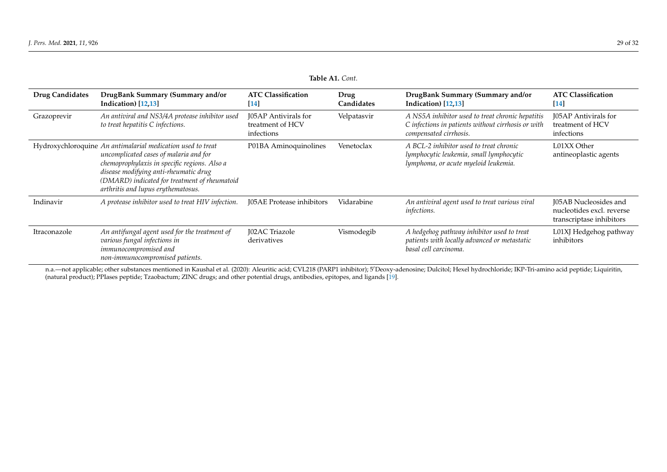|                        | 10016 111. COIII.                                                                                                                                                                                                                                                                     |                                                               |                    |                                                                                                                                  |                                                                                       |  |  |
|------------------------|---------------------------------------------------------------------------------------------------------------------------------------------------------------------------------------------------------------------------------------------------------------------------------------|---------------------------------------------------------------|--------------------|----------------------------------------------------------------------------------------------------------------------------------|---------------------------------------------------------------------------------------|--|--|
| <b>Drug Candidates</b> | DrugBank Summary (Summary and/or<br>Indication) [12,13]                                                                                                                                                                                                                               | <b>ATC Classification</b><br>$\lceil 14 \rceil$               | Drug<br>Candidates | DrugBank Summary (Summary and/or<br>Indication) [12,13]                                                                          | <b>ATC Classification</b><br>$[14]$                                                   |  |  |
| Grazoprevir            | An antiviral and NS3/4A protease inhibitor used<br>to treat hepatitis C infections.                                                                                                                                                                                                   | <b>J05AP</b> Antivirals for<br>treatment of HCV<br>infections | Velpatasvir        | A NS5A inhibitor used to treat chronic hepatitis<br>C infections in patients without cirrhosis or with<br>compensated cirrhosis. | J05AP Antivirals for<br>treatment of HCV<br>infections                                |  |  |
|                        | Hydroxychloroquine An antimalarial medication used to treat<br>uncomplicated cases of malaria and for<br>chemoprophylaxis in specific regions. Also a<br>disease modifying anti-rheumatic drug<br>(DMARD) indicated for treatment of rheumatoid<br>arthritis and lupus erythematosus. | P01BA Aminoquinolines                                         | Venetoclax         | A BCL-2 inhibitor used to treat chronic<br>lymphocytic leukemia, small lymphocytic<br>lymphoma, or acute myeloid leukemia.       | L01XX Other<br>antineoplastic agents                                                  |  |  |
| Indinavir              | A protease inhibitor used to treat HIV infection.                                                                                                                                                                                                                                     | <b>I05AE</b> Protease inhibitors                              | Vidarabine         | An antiviral agent used to treat various viral<br>infections.                                                                    | <b>I05AB</b> Nucleosides and<br>nucleotides excl. reverse<br>transcriptase inhibitors |  |  |
| Itraconazole           | An antifungal agent used for the treatment of<br>various fungal infections in<br>immunocompromised and<br>non-immunocompromised patients.                                                                                                                                             | J02AC Triazole<br>derivatives                                 | Vismodegib         | A hedgehog pathway inhibitor used to treat<br>patients with locally advanced or metastatic<br>basal cell carcinoma.              | L01XJ Hedgehog pathway<br>inhibitors                                                  |  |  |

n.a.—not applicable; other substances mentioned in Kaushal et al. (2020): Aleuritic acid; CVL218 (PARP1 inhibitor); 5'Deoxy-adenosine; Dulcitol; Hexel hydrochloride; IKP-Tri-amino acid peptide; Liquiritin, (natural product); PPIases peptide; Tzaobactum; ZINC drugs; and other potential drugs, antibodies, epitopes, and ligands [\[19\]](#page-29-25).

**Table A1.** *Cont.*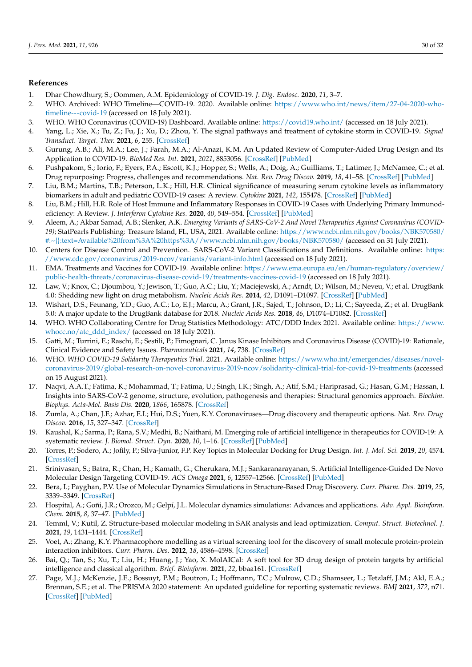# <span id="page-29-26"></span>**References**

- <span id="page-29-0"></span>1. Dhar Chowdhury, S.; Oommen, A.M. Epidemiology of COVID-19. *J. Dig. Endosc.* **2020**, *11*, 3–7.
- <span id="page-29-27"></span><span id="page-29-1"></span>2. WHO. Archived: WHO Timeline—COVID-19. 2020. Available online: [https://www.who.int/news/item/27-04-2020-who](https://www.who.int/news/item/27-04-2020-who-timeline---covid-19)[timeline---covid-19](https://www.who.int/news/item/27-04-2020-who-timeline---covid-19) (accessed on 18 July 2021).
- <span id="page-29-28"></span><span id="page-29-2"></span>3. WHO. WHO Coronavirus (COVID-19) Dashboard. Available online: <https://covid19.who.int/> (accessed on 18 July 2021).
- <span id="page-29-3"></span>4. Yang, L.; Xie, X.; Tu, Z.; Fu, J.; Xu, D.; Zhou, Y. The signal pathways and treatment of cytokine storm in COVID-19. *Signal Transduct. Target. Ther.* **2021**, *6*, 255. [\[CrossRef\]](http://doi.org/10.1038/s41392-021-00679-0)
- <span id="page-29-4"></span>5. Gurung, A.B.; Ali, M.A.; Lee, J.; Farah, M.A.; Al-Anazi, K.M. An Updated Review of Computer-Aided Drug Design and Its Application to COVID-19. *BioMed Res. Int.* **2021**, *2021*, 8853056. [\[CrossRef\]](http://doi.org/10.1155/2021/8853056) [\[PubMed\]](http://www.ncbi.nlm.nih.gov/pubmed/34258282)
- <span id="page-29-7"></span>6. Pushpakom, S.; Iorio, F.; Eyers, P.A.; Escott, K.J.; Hopper, S.; Wells, A.; Doig, A.; Guilliams, T.; Latimer, J.; McNamee, C.; et al. Drug repurposing: Progress, challenges and recommendations. *Nat. Rev. Drug Discov.* **2019**, *18*, 41–58. [\[CrossRef\]](http://doi.org/10.1038/nrd.2018.168) [\[PubMed\]](http://www.ncbi.nlm.nih.gov/pubmed/30310233)
- <span id="page-29-6"></span>7. Liu, B.M.; Martins, T.B.; Peterson, L.K.; Hill, H.R. Clinical significance of measuring serum cytokine levels as inflammatory biomarkers in adult and pediatric COVID-19 cases: A review. *Cytokine* **2021**, *142*, 155478. [\[CrossRef\]](http://doi.org/10.1016/j.cyto.2021.155478) [\[PubMed\]](http://www.ncbi.nlm.nih.gov/pubmed/33667962)
- <span id="page-29-5"></span>8. Liu, B.M.; Hill, H.R. Role of Host Immune and Inflammatory Responses in COVID-19 Cases with Underlying Primary Immunodeficiency: A Review. *J. Interferon Cytokine Res.* **2020**, *40*, 549–554. [\[CrossRef\]](http://doi.org/10.1089/jir.2020.0210) [\[PubMed\]](http://www.ncbi.nlm.nih.gov/pubmed/33337932)
- <span id="page-29-25"></span><span id="page-29-8"></span>9. Aleem, A.; Akbar Samad, A.B.; Slenker, A.K. *Emerging Variants of SARS-CoV-2 And Novel Therapeutics Against Coronavirus (COVID-19)*; StatPearls Publishing: Treasure Island, FL, USA, 2021. Available online: [https://www.ncbi.nlm.nih.gov/books/NBK570580/](https://www.ncbi.nlm.nih.gov/books/NBK570580/#:~{}:text=Available%20from%3A%20https%3A//www.ncbi.nlm.nih.gov/books/NBK570580/) [#:~{}:text=Available%20from%3A%20https%3A//www.ncbi.nlm.nih.gov/books/NBK570580/](https://www.ncbi.nlm.nih.gov/books/NBK570580/#:~{}:text=Available%20from%3A%20https%3A//www.ncbi.nlm.nih.gov/books/NBK570580/) (accessed on 31 July 2021).
- <span id="page-29-9"></span>10. Centers for Disease Control and Prevention. SARS-CoV-2 Variant Classifications and Definitions. Available online: [https:](https://www.cdc.gov/coronavirus/2019-ncov/variants/variant-info.html) [//www.cdc.gov/coronavirus/2019-ncov/variants/variant-info.html](https://www.cdc.gov/coronavirus/2019-ncov/variants/variant-info.html) (accessed on 18 July 2021).
- <span id="page-29-10"></span>11. EMA. Treatments and Vaccines for COVID-19. Available online: [https://www.ema.europa.eu/en/human-regulatory/overview/](https://www.ema.europa.eu/en/human-regulatory/overview/public-health-threats/coronavirus-disease-covid-19/treatments-vaccines-covid-19) [public-health-threats/coronavirus-disease-covid-19/treatments-vaccines-covid-19](https://www.ema.europa.eu/en/human-regulatory/overview/public-health-threats/coronavirus-disease-covid-19/treatments-vaccines-covid-19) (accessed on 18 July 2021).
- 12. Law, V.; Knox, C.; Djoumbou, Y.; Jewison, T.; Guo, A.C.; Liu, Y.; Maciejewski, A.; Arndt, D.; Wilson, M.; Neveu, V.; et al. DrugBank 4.0: Shedding new light on drug metabolism. *Nucleic Acids Res.* **2014**, *42*, D1091–D1097. [\[CrossRef\]](http://doi.org/10.1093/nar/gkt1068) [\[PubMed\]](http://www.ncbi.nlm.nih.gov/pubmed/24203711)
- 13. Wishart, D.S.; Feunang, Y.D.; Guo, A.C.; Lo, E.J.; Marcu, A.; Grant, J.R.; Sajed, T.; Johnson, D.; Li, C.; Sayeeda, Z.; et al. DrugBank 5.0: A major update to the DrugBank database for 2018. *Nucleic Acids Res.* **2018**, *46*, D1074–D1082. [\[CrossRef\]](http://doi.org/10.1093/nar/gkx1037)
- <span id="page-29-11"></span>14. WHO. WHO Collaborating Centre for Drug Statistics Methodology: ATC/DDD Index 2021. Available online: [https://www.](https://www.whocc.no/atc_ddd_index/) [whocc.no/atc\\_ddd\\_index/](https://www.whocc.no/atc_ddd_index/) (accessed on 18 July 2021).
- <span id="page-29-12"></span>15. Gatti, M.; Turrini, E.; Raschi, E.; Sestili, P.; Fimognari, C. Janus Kinase Inhibitors and Coronavirus Disease (COVID)-19: Rationale, Clinical Evidence and Safety Issues. *Pharmaceuticals* **2021**, *14*, 738. [\[CrossRef\]](http://doi.org/10.3390/ph14080738)
- <span id="page-29-13"></span>16. WHO. *WHO COVID-19 Solidarity Therapeutics Trial*. 2021. Available online: [https://www.who.int/emergencies/diseases/novel](https://www.who.int/emergencies/diseases/novel-coronavirus-2019/global-research-on-novel-coronavirus-2019-ncov/solidarity-clinical-trial-for-covid-19-treatments)[coronavirus-2019/global-research-on-novel-coronavirus-2019-ncov/solidarity-clinical-trial-for-covid-19-treatments](https://www.who.int/emergencies/diseases/novel-coronavirus-2019/global-research-on-novel-coronavirus-2019-ncov/solidarity-clinical-trial-for-covid-19-treatments) (accessed on 15 August 2021).
- <span id="page-29-14"></span>17. Naqvi, A.A.T.; Fatima, K.; Mohammad, T.; Fatima, U.; Singh, I.K.; Singh, A.; Atif, S.M.; Hariprasad, G.; Hasan, G.M.; Hassan, I. Insights into SARS-CoV-2 genome, structure, evolution, pathogenesis and therapies: Structural genomics approach. *Biochim. Biophys. Acta-Mol. Basis Dis.* **2020**, *1866*, 165878. [\[CrossRef\]](http://doi.org/10.1016/j.bbadis.2020.165878)
- <span id="page-29-15"></span>18. Zumla, A.; Chan, J.F.; Azhar, E.I.; Hui, D.S.; Yuen, K.Y. Coronaviruses—Drug discovery and therapeutic options. *Nat. Rev. Drug Discov.* **2016**, *15*, 327–347. [\[CrossRef\]](http://doi.org/10.1038/nrd.2015.37)
- <span id="page-29-16"></span>19. Kaushal, K.; Sarma, P.; Rana, S.V.; Medhi, B.; Naithani, M. Emerging role of artificial intelligence in therapeutics for COVID-19: A systematic review. *J. Biomol. Struct. Dyn.* **2020**, *10*, 1–16. [\[CrossRef\]](http://doi.org/10.1080/07391102.2020.1855250) [\[PubMed\]](http://www.ncbi.nlm.nih.gov/pubmed/33300456)
- <span id="page-29-17"></span>20. Torres, P.; Sodero, A.; Jofily, P.; Silva-Junior, F.P. Key Topics in Molecular Docking for Drug Design. *Int. J. Mol. Sci.* **2019**, *20*, 4574. [\[CrossRef\]](http://doi.org/10.3390/ijms20184574)
- <span id="page-29-18"></span>21. Srinivasan, S.; Batra, R.; Chan, H.; Kamath, G.; Cherukara, M.J.; Sankaranarayanan, S. Artificial Intelligence-Guided De Novo Molecular Design Targeting COVID-19. *ACS Omega* **2021**, *6*, 12557–12566. [\[CrossRef\]](http://doi.org/10.1021/acsomega.1c00477) [\[PubMed\]](http://www.ncbi.nlm.nih.gov/pubmed/34056406)
- <span id="page-29-19"></span>22. Bera, I.; Payghan, P.V. Use of Molecular Dynamics Simulations in Structure-Based Drug Discovery. *Curr. Pharm. Des.* **2019**, *25*, 3339–3349. [\[CrossRef\]](http://doi.org/10.2174/1381612825666190903153043)
- <span id="page-29-20"></span>23. Hospital, A.; Goñi, J.R.; Orozco, M.; Gelpí, J.L. Molecular dynamics simulations: Advances and applications. *Adv. Appl. Bioinform. Chem.* **2015**, *8*, 37–47. [\[PubMed\]](http://www.ncbi.nlm.nih.gov/pubmed/26604800)
- <span id="page-29-21"></span>24. Temml, V.; Kutil, Z. Structure-based molecular modeling in SAR analysis and lead optimization. *Comput. Struct. Biotechnol. J.* **2021**, *19*, 1431–1444. [\[CrossRef\]](http://doi.org/10.1016/j.csbj.2021.02.018)
- <span id="page-29-22"></span>25. Voet, A.; Zhang, K.Y. Pharmacophore modelling as a virtual screening tool for the discovery of small molecule protein-protein interaction inhibitors. *Curr. Pharm. Des.* **2012**, *18*, 4586–4598. [\[CrossRef\]](http://doi.org/10.2174/138161212802651616)
- <span id="page-29-23"></span>26. Bai, Q.; Tan, S.; Xu, T.; Liu, H.; Huang, J.; Yao, X. MolAICal: A soft tool for 3D drug design of protein targets by artificial intelligence and classical algorithm. *Brief. Bioinform.* **2021**, *22*, bbaa161. [\[CrossRef\]](http://doi.org/10.1093/bib/bbaa161)
- <span id="page-29-24"></span>27. Page, M.J.; McKenzie, J.E.; Bossuyt, P.M.; Boutron, I.; Hoffmann, T.C.; Mulrow, C.D.; Shamseer, L.; Tetzlaff, J.M.; Akl, E.A.; Brennan, S.E.; et al. The PRISMA 2020 statement: An updated guideline for reporting systematic reviews. *BMJ* **2021**, *372*, n71. [\[CrossRef\]](http://doi.org/10.1136/bmj.n71) [\[PubMed\]](http://www.ncbi.nlm.nih.gov/pubmed/33782057)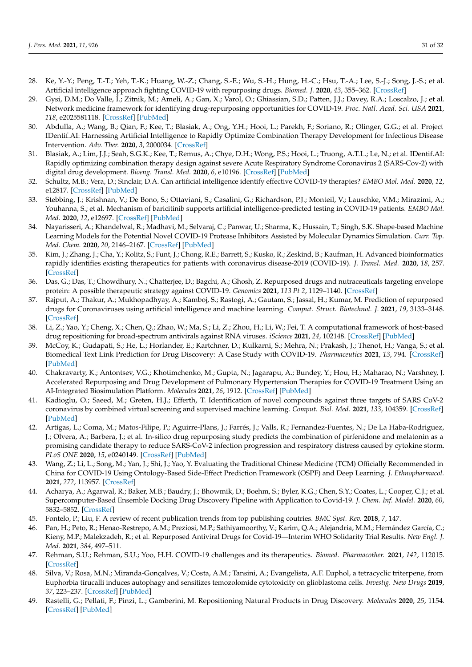- <span id="page-30-17"></span><span id="page-30-8"></span><span id="page-30-7"></span><span id="page-30-6"></span><span id="page-30-5"></span><span id="page-30-4"></span><span id="page-30-3"></span><span id="page-30-2"></span><span id="page-30-1"></span><span id="page-30-0"></span>28. Ke, Y.-Y.; Peng, T.-T.; Yeh, T.-K.; Huang, W.-Z.; Chang, S.-E.; Wu, S.-H.; Hung, H.-C.; Hsu, T.-A.; Lee, S.-J.; Song, J.-S.; et al. Artificial intelligence approach fighting COVID-19 with repurposing drugs. *Biomed. J.* **2020**, *43*, 355–362. [\[CrossRef\]](http://doi.org/10.1016/j.bj.2020.05.001)
- <span id="page-30-18"></span><span id="page-30-9"></span>29. Gysi, D.M.; Do Valle, Í.; Zitnik, M.; Ameli, A.; Gan, X.; Varol, O.; Ghiassian, S.D.; Patten, J.J.; Davey, R.A.; Loscalzo, J.; et al. Network medicine framework for identifying drug-repurposing opportunities for COVID-19. *Proc. Natl. Acad. Sci. USA* **2021**, *118*, e2025581118. [\[CrossRef\]](http://doi.org/10.1073/pnas.2025581118) [\[PubMed\]](http://www.ncbi.nlm.nih.gov/pubmed/33906951)
- <span id="page-30-19"></span><span id="page-30-10"></span>30. Abdulla, A.; Wang, B.; Qian, F.; Kee, T.; Blasiak, A.; Ong, Y.H.; Hooi, L.; Parekh, F.; Soriano, R.; Olinger, G.G.; et al. Project IDentif.AI: Harnessing Artificial Intelligence to Rapidly Optimize Combination Therapy Development for Infectious Disease Intervention. *Adv. Ther.* **2020**, *3*, 2000034. [\[CrossRef\]](http://doi.org/10.1002/adtp.202000034)
- <span id="page-30-20"></span><span id="page-30-11"></span>31. Blasiak, A.; Lim, J.J.; Seah, S.G.K.; Kee, T.; Remus, A.; Chye, D.H.; Wong, P.S.; Hooi, L.; Truong, A.T.L.; Le, N.; et al. IDentif.AI: Rapidly optimizing combination therapy design against severe Acute Respiratory Syndrome Coronavirus 2 (SARS-Cov-2) with digital drug development. *Bioeng. Transl. Med.* **2020**, *6*, e10196. [\[CrossRef\]](http://doi.org/10.1002/btm2.10196) [\[PubMed\]](http://www.ncbi.nlm.nih.gov/pubmed/33532594)
- <span id="page-30-21"></span><span id="page-30-12"></span>32. Schultz, M.B.; Vera, D.; Sinclair, D.A. Can artificial intelligence identify effective COVID-19 therapies? *EMBO Mol. Med.* **2020**, *12*, e12817. [\[CrossRef\]](http://doi.org/10.15252/emmm.202012817) [\[PubMed\]](http://www.ncbi.nlm.nih.gov/pubmed/32569446)
- <span id="page-30-22"></span><span id="page-30-13"></span>33. Stebbing, J.; Krishnan, V.; De Bono, S.; Ottaviani, S.; Casalini, G.; Richardson, P.J.; Monteil, V.; Lauschke, V.M.; Mirazimi, A.; Youhanna, S.; et al. Mechanism of baricitinib supports artificial intelligence-predicted testing in COVID-19 patients. *EMBO Mol. Med.* **2020**, *12*, e12697. [\[CrossRef\]](http://doi.org/10.15252/emmm.202012697) [\[PubMed\]](http://www.ncbi.nlm.nih.gov/pubmed/32473600)
- <span id="page-30-23"></span><span id="page-30-14"></span>34. Nayarisseri, A.; Khandelwal, R.; Madhavi, M.; Selvaraj, C.; Panwar, U.; Sharma, K.; Hussain, T.; Singh, S.K. Shape-based Machine Learning Models for the Potential Novel COVID-19 Protease Inhibitors Assisted by Molecular Dynamics Simulation. *Curr. Top. Med. Chem.* **2020**, *20*, 2146–2167. [\[CrossRef\]](http://doi.org/10.2174/1568026620666200704135327) [\[PubMed\]](http://www.ncbi.nlm.nih.gov/pubmed/32621718)
- <span id="page-30-24"></span><span id="page-30-15"></span>35. Kim, J.; Zhang, J.; Cha, Y.; Kolitz, S.; Funt, J.; Chong, R.E.; Barrett, S.; Kusko, R.; Zeskind, B.; Kaufman, H. Advanced bioinformatics rapidly identifies existing therapeutics for patients with coronavirus disease-2019 (COVID-19). *J. Transl. Med.* **2020**, *18*, 257. [\[CrossRef\]](http://doi.org/10.1186/s12967-020-02430-9)
- <span id="page-30-25"></span>36. Das, G.; Das, T.; Chowdhury, N.; Chatterjee, D.; Bagchi, A.; Ghosh, Z. Repurposed drugs and nutraceuticals targeting envelope protein: A possible therapeutic strategy against COVID-19. *Genomics* **2021**, *113 Pt 2*, 1129–1140. [\[CrossRef\]](http://doi.org/10.1016/j.ygeno.2020.11.009)
- <span id="page-30-26"></span><span id="page-30-16"></span>37. Rajput, A.; Thakur, A.; Mukhopadhyay, A.; Kamboj, S.; Rastogi, A.; Gautam, S.; Jassal, H.; Kumar, M. Prediction of repurposed drugs for Coronaviruses using artificial intelligence and machine learning. *Comput. Struct. Biotechnol. J.* **2021**, *19*, 3133–3148. [\[CrossRef\]](http://doi.org/10.1016/j.csbj.2021.05.037)
- <span id="page-30-27"></span>38. Li, Z.; Yao, Y.; Cheng, X.; Chen, Q.; Zhao, W.; Ma, S.; Li, Z.; Zhou, H.; Li, W.; Fei, T. A computational framework of host-based drug repositioning for broad-spectrum antivirals against RNA viruses. *iScience* **2021**, *24*, 102148. [\[CrossRef\]](http://doi.org/10.1016/j.isci.2021.102148) [\[PubMed\]](http://www.ncbi.nlm.nih.gov/pubmed/33665567)
- <span id="page-30-28"></span>39. McCoy, K.; Gudapati, S.; He, L.; Horlander, E.; Kartchner, D.; Kulkarni, S.; Mehra, N.; Prakash, J.; Thenot, H.; Vanga, S.; et al. Biomedical Text Link Prediction for Drug Discovery: A Case Study with COVID-19. *Pharmaceutics* **2021**, *13*, 794. [\[CrossRef\]](http://doi.org/10.3390/pharmaceutics13060794) [\[PubMed\]](http://www.ncbi.nlm.nih.gov/pubmed/34073456)
- <span id="page-30-29"></span>40. Chakravarty, K.; Antontsev, V.G.; Khotimchenko, M.; Gupta, N.; Jagarapu, A.; Bundey, Y.; Hou, H.; Maharao, N.; Varshney, J. Accelerated Repurposing and Drug Development of Pulmonary Hypertension Therapies for COVID-19 Treatment Using an AI-Integrated Biosimulation Platform. *Molecules* **2021**, *26*, 1912. [\[CrossRef\]](http://doi.org/10.3390/molecules26071912) [\[PubMed\]](http://www.ncbi.nlm.nih.gov/pubmed/33805419)
- <span id="page-30-30"></span>41. Kadioglu, O.; Saeed, M.; Greten, H.J.; Efferth, T. Identification of novel compounds against three targets of SARS CoV-2 coronavirus by combined virtual screening and supervised machine learning. *Comput. Biol. Med.* **2021**, *133*, 104359. [\[CrossRef\]](http://doi.org/10.1016/j.compbiomed.2021.104359) [\[PubMed\]](http://www.ncbi.nlm.nih.gov/pubmed/33845270)
- <span id="page-30-31"></span>42. Artigas, L.; Coma, M.; Matos-Filipe, P.; Aguirre-Plans, J.; Farrés, J.; Valls, R.; Fernandez-Fuentes, N.; De La Haba-Rodriguez, J.; Olvera, A.; Barbera, J.; et al. In-silico drug repurposing study predicts the combination of pirfenidone and melatonin as a promising candidate therapy to reduce SARS-CoV-2 infection progression and respiratory distress caused by cytokine storm. *PLoS ONE* **2020**, *15*, e0240149. [\[CrossRef\]](http://doi.org/10.1371/journal.pone.0240149) [\[PubMed\]](http://www.ncbi.nlm.nih.gov/pubmed/33006999)
- <span id="page-30-32"></span>43. Wang, Z.; Li, L.; Song, M.; Yan, J.; Shi, J.; Yao, Y. Evaluating the Traditional Chinese Medicine (TCM) Officially Recommended in China for COVID-19 Using Ontology-Based Side-Effect Prediction Framework (OSPF) and Deep Learning. *J. Ethnopharmacol.* **2021**, *272*, 113957. [\[CrossRef\]](http://doi.org/10.1016/j.jep.2021.113957)
- <span id="page-30-33"></span>44. Acharya, A.; Agarwal, R.; Baker, M.B.; Baudry, J.; Bhowmik, D.; Boehm, S.; Byler, K.G.; Chen, S.Y.; Coates, L.; Cooper, C.J.; et al. Supercomputer-Based Ensemble Docking Drug Discovery Pipeline with Application to Covid-19. *J. Chem. Inf. Model.* **2020**, *60*, 5832–5852. [\[CrossRef\]](http://doi.org/10.1021/acs.jcim.0c01010)
- <span id="page-30-34"></span>45. Fontelo, P.; Liu, F. A review of recent publication trends from top publishing coutries. *BMC Syst. Rev.* **2018**, *7*, 147.
- <span id="page-30-35"></span>46. Pan, H.; Peto, R.; Henao-Restrepo, A.M.; Preziosi, M.P.; Sathiyamoorthy, V.; Karim, Q.A.; Alejandria, M.M.; Hernández García, C.; Kieny, M.P.; Malekzadeh, R.; et al. Repurposed Antiviral Drugs for Covid-19—Interim WHO Solidarity Trial Results. *New Engl. J. Med.* **2021**, *384*, 497–511.
- <span id="page-30-36"></span>47. Rehman, S.U.; Rehman, S.U.; Yoo, H.H. COVID-19 challenges and its therapeutics. *Biomed. Pharmacother.* **2021**, *142*, 112015. [\[CrossRef\]](http://doi.org/10.1016/j.biopha.2021.112015)
- <span id="page-30-37"></span>48. Silva, V.; Rosa, M.N.; Miranda-Gonçalves, V.; Costa, A.M.; Tansini, A.; Evangelista, A.F. Euphol, a tetracyclic triterpene, from Euphorbia tirucalli induces autophagy and sensitizes temozolomide cytotoxicity on glioblastoma cells. *Investig. New Drugs* **2019**, *37*, 223–237. [\[CrossRef\]](http://doi.org/10.1007/s10637-018-0620-y) [\[PubMed\]](http://www.ncbi.nlm.nih.gov/pubmed/29931585)
- <span id="page-30-38"></span>49. Rastelli, G.; Pellati, F.; Pinzi, L.; Gamberini, M. Repositioning Natural Products in Drug Discovery. *Molecules* **2020**, *25*, 1154. [\[CrossRef\]](http://doi.org/10.3390/molecules25051154) [\[PubMed\]](http://www.ncbi.nlm.nih.gov/pubmed/32143476)